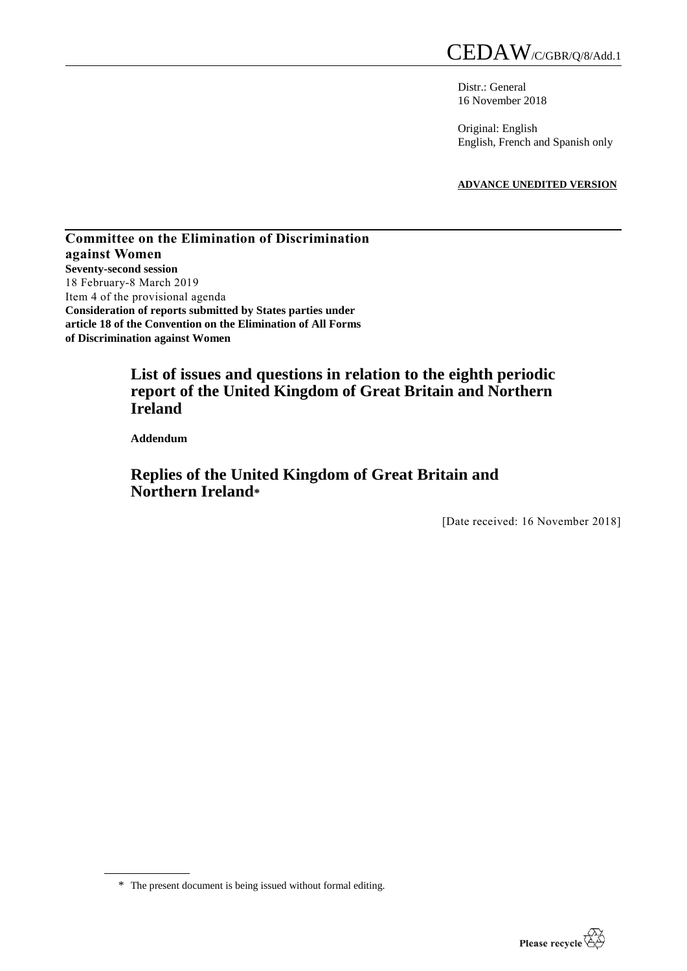Distr.: General 16 November 2018

Original: English English, French and Spanish only

**ADVANCE UNEDITED VERSION**

**Committee on the Elimination of Discrimination against Women Seventy-second session**  18 February-8 March 2019 Item 4 of the provisional agenda **Consideration of reports submitted by States parties under article 18 of the Convention on the Elimination of All Forms of Discrimination against Women**

# **List of issues and questions in relation to the eighth periodic report of the United Kingdom of Great Britain and Northern Ireland**

**Addendum**

# **Replies of the United Kingdom of Great Britain and Northern Ireland\***

[Date received: 16 November 2018]



<sup>\*</sup> The present document is being issued without formal editing.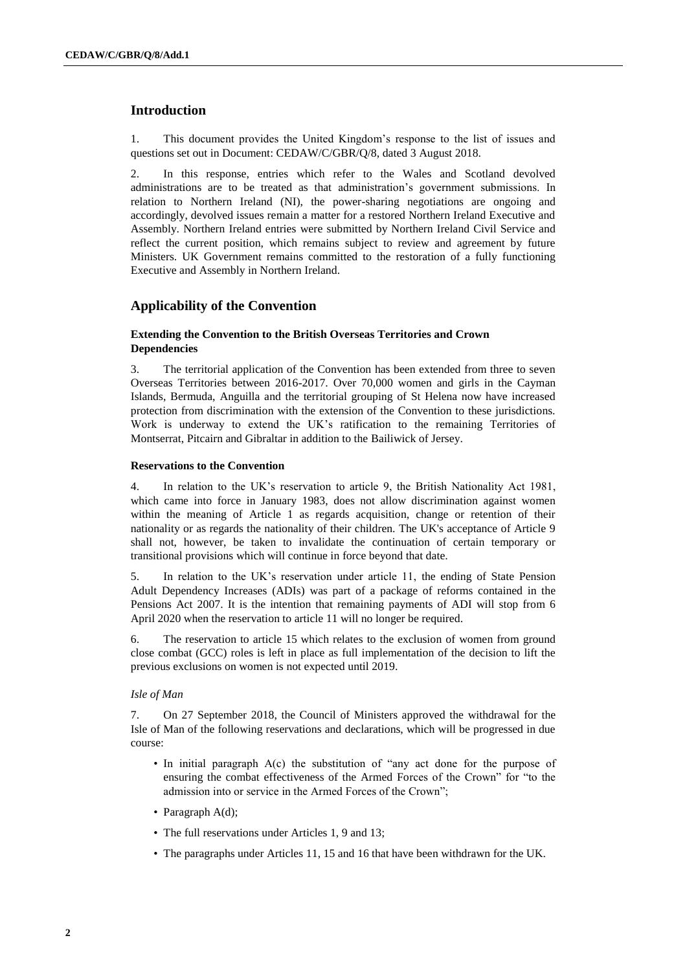# **Introduction**

1. This document provides the United Kingdom's response to the list of issues and questions set out in Document: CEDAW/C/GBR/Q/8, dated 3 August 2018.

2. In this response, entries which refer to the Wales and Scotland devolved administrations are to be treated as that administration's government submissions. In relation to Northern Ireland (NI), the power-sharing negotiations are ongoing and accordingly, devolved issues remain a matter for a restored Northern Ireland Executive and Assembly. Northern Ireland entries were submitted by Northern Ireland Civil Service and reflect the current position, which remains subject to review and agreement by future Ministers. UK Government remains committed to the restoration of a fully functioning Executive and Assembly in Northern Ireland.

# **Applicability of the Convention**

### **Extending the Convention to the British Overseas Territories and Crown Dependencies**

3. The territorial application of the Convention has been extended from three to seven Overseas Territories between 2016-2017. Over 70,000 women and girls in the Cayman Islands, Bermuda, Anguilla and the territorial grouping of St Helena now have increased protection from discrimination with the extension of the Convention to these jurisdictions. Work is underway to extend the UK's ratification to the remaining Territories of Montserrat, Pitcairn and Gibraltar in addition to the Bailiwick of Jersey.

### **Reservations to the Convention**

4. In relation to the UK's reservation to article 9, the British Nationality Act 1981, which came into force in January 1983, does not allow discrimination against women within the meaning of Article 1 as regards acquisition, change or retention of their nationality or as regards the nationality of their children. The UK's acceptance of Article 9 shall not, however, be taken to invalidate the continuation of certain temporary or transitional provisions which will continue in force beyond that date.

5. In relation to the UK's reservation under article 11, the ending of State Pension Adult Dependency Increases (ADIs) was part of a package of reforms contained in the Pensions Act 2007. It is the intention that remaining payments of ADI will stop from 6 April 2020 when the reservation to article 11 will no longer be required.

6. The reservation to article 15 which relates to the exclusion of women from ground close combat (GCC) roles is left in place as full implementation of the decision to lift the previous exclusions on women is not expected until 2019.

### *Isle of Man*

7. On 27 September 2018, the Council of Ministers approved the withdrawal for the Isle of Man of the following reservations and declarations, which will be progressed in due course:

- In initial paragraph A(c) the substitution of "any act done for the purpose of ensuring the combat effectiveness of the Armed Forces of the Crown" for "to the admission into or service in the Armed Forces of the Crown";
- Paragraph A(d);
- The full reservations under Articles 1, 9 and 13;
- The paragraphs under Articles 11, 15 and 16 that have been withdrawn for the UK.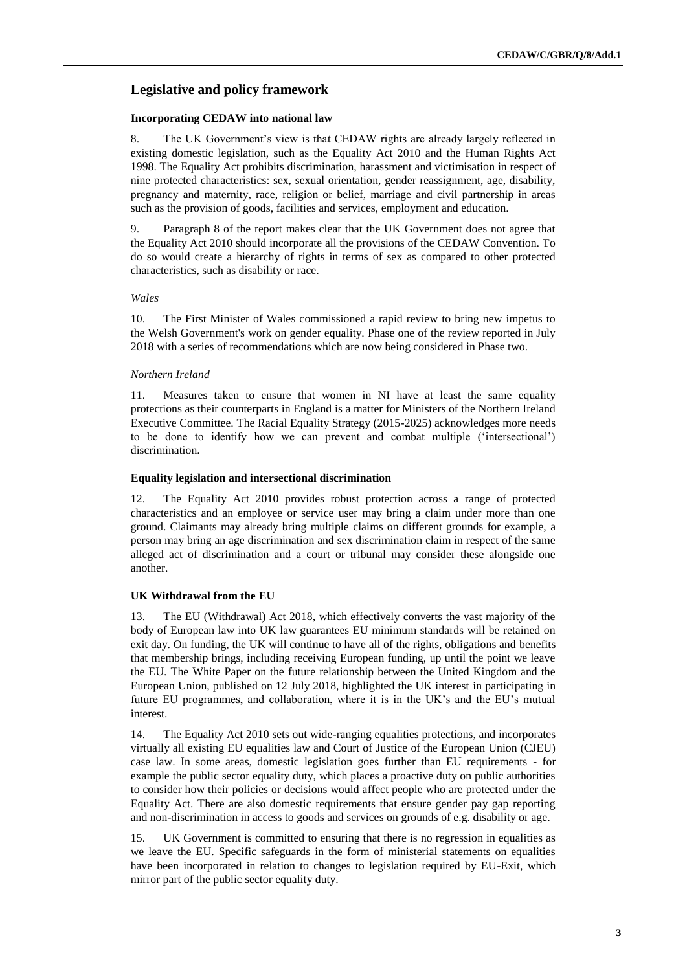# **Legislative and policy framework**

#### **Incorporating CEDAW into national law**

8. The UK Government's view is that CEDAW rights are already largely reflected in existing domestic legislation, such as the Equality Act 2010 and the Human Rights Act 1998. The Equality Act prohibits discrimination, harassment and victimisation in respect of nine protected characteristics: sex, sexual orientation, gender reassignment, age, disability, pregnancy and maternity, race, religion or belief, marriage and civil partnership in areas such as the provision of goods, facilities and services, employment and education.

9. Paragraph 8 of the report makes clear that the UK Government does not agree that the Equality Act 2010 should incorporate all the provisions of the CEDAW Convention. To do so would create a hierarchy of rights in terms of sex as compared to other protected characteristics, such as disability or race.

### *Wales*

10. The First Minister of Wales commissioned a rapid review to bring new impetus to the Welsh Government's work on gender equality. Phase one of the review reported in July 2018 with a series of recommendations which are now being considered in Phase two.

#### *Northern Ireland*

11. Measures taken to ensure that women in NI have at least the same equality protections as their counterparts in England is a matter for Ministers of the Northern Ireland Executive Committee. The Racial Equality Strategy (2015-2025) acknowledges more needs to be done to identify how we can prevent and combat multiple ('intersectional') discrimination.

#### **Equality legislation and intersectional discrimination**

12. The Equality Act 2010 provides robust protection across a range of protected characteristics and an employee or service user may bring a claim under more than one ground. Claimants may already bring multiple claims on different grounds for example, a person may bring an age discrimination and sex discrimination claim in respect of the same alleged act of discrimination and a court or tribunal may consider these alongside one another.

#### **UK Withdrawal from the EU**

13. The EU (Withdrawal) Act 2018, which effectively converts the vast majority of the body of European law into UK law guarantees EU minimum standards will be retained on exit day. On funding, the UK will continue to have all of the rights, obligations and benefits that membership brings, including receiving European funding, up until the point we leave the EU. The White Paper on the future relationship between the United Kingdom and the European Union, published on 12 July 2018, highlighted the UK interest in participating in future EU programmes, and collaboration, where it is in the UK's and the EU's mutual interest.

14. The Equality Act 2010 sets out wide-ranging equalities protections, and incorporates virtually all existing EU equalities law and Court of Justice of the European Union (CJEU) case law. In some areas, domestic legislation goes further than EU requirements - for example the public sector equality duty, which places a proactive duty on public authorities to consider how their policies or decisions would affect people who are protected under the Equality Act. There are also domestic requirements that ensure gender pay gap reporting and non-discrimination in access to goods and services on grounds of e.g. disability or age.

15. UK Government is committed to ensuring that there is no regression in equalities as we leave the EU. Specific safeguards in the form of ministerial statements on equalities have been incorporated in relation to changes to legislation required by EU-Exit, which mirror part of the public sector equality duty.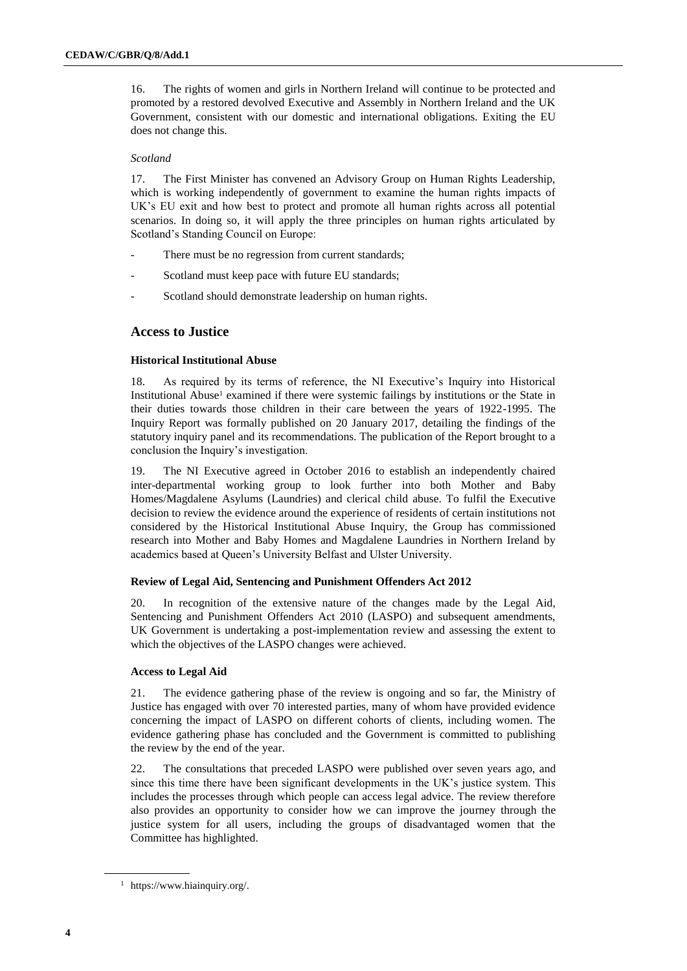16. The rights of women and girls in Northern Ireland will continue to be protected and promoted by a restored devolved Executive and Assembly in Northern Ireland and the UK Government, consistent with our domestic and international obligations. Exiting the EU does not change this.

#### *Scotland*

17. The First Minister has convened an Advisory Group on Human Rights Leadership, which is working independently of government to examine the human rights impacts of UK's EU exit and how best to protect and promote all human rights across all potential scenarios. In doing so, it will apply the three principles on human rights articulated by Scotland's Standing Council on Europe:

- There must be no regression from current standards;
- Scotland must keep pace with future EU standards;
- Scotland should demonstrate leadership on human rights.

# **Access to Justice**

### **Historical Institutional Abuse**

18. As required by its terms of reference, the NI Executive's Inquiry into Historical Institutional Abuse<sup>1</sup> examined if there were systemic failings by institutions or the State in their duties towards those children in their care between the years of 1922-1995. The Inquiry Report was formally published on 20 January 2017, detailing the findings of the statutory inquiry panel and its recommendations. The publication of the Report brought to a conclusion the Inquiry's investigation.

19. The NI Executive agreed in October 2016 to establish an independently chaired inter-departmental working group to look further into both Mother and Baby Homes/Magdalene Asylums (Laundries) and clerical child abuse. To fulfil the Executive decision to review the evidence around the experience of residents of certain institutions not considered by the Historical Institutional Abuse Inquiry, the Group has commissioned research into Mother and Baby Homes and Magdalene Laundries in Northern Ireland by academics based at Queen's University Belfast and Ulster University.

### **Review of Legal Aid, Sentencing and Punishment Offenders Act 2012**

20. In recognition of the extensive nature of the changes made by the Legal Aid, Sentencing and Punishment Offenders Act 2010 (LASPO) and subsequent amendments, UK Government is undertaking a post-implementation review and assessing the extent to which the objectives of the LASPO changes were achieved.

#### **Access to Legal Aid**

21. The evidence gathering phase of the review is ongoing and so far, the Ministry of Justice has engaged with over 70 interested parties, many of whom have provided evidence concerning the impact of LASPO on different cohorts of clients, including women. The evidence gathering phase has concluded and the Government is committed to publishing the review by the end of the year.

22. The consultations that preceded LASPO were published over seven years ago, and since this time there have been significant developments in the UK's justice system. This includes the processes through which people can access legal advice. The review therefore also provides an opportunity to consider how we can improve the journey through the justice system for all users, including the groups of disadvantaged women that the Committee has highlighted.

<sup>1</sup> https://www.hiainquiry.org/.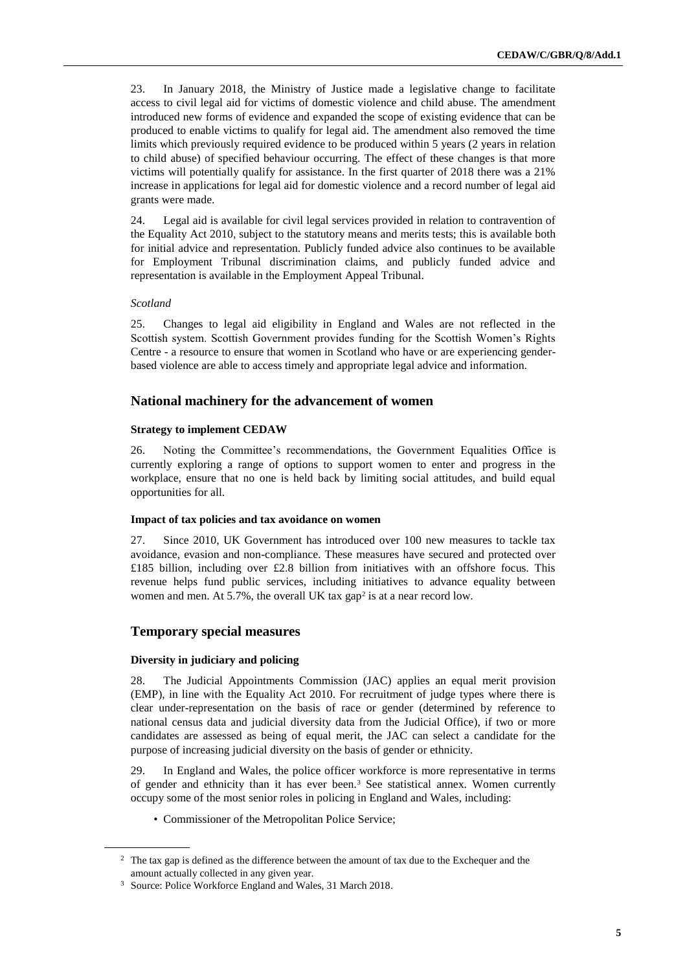23. In January 2018, the Ministry of Justice made a legislative change to facilitate access to civil legal aid for victims of domestic violence and child abuse. The amendment introduced new forms of evidence and expanded the scope of existing evidence that can be produced to enable victims to qualify for legal aid. The amendment also removed the time limits which previously required evidence to be produced within 5 years (2 years in relation to child abuse) of specified behaviour occurring. The effect of these changes is that more victims will potentially qualify for assistance. In the first quarter of 2018 there was a 21% increase in applications for legal aid for domestic violence and a record number of legal aid grants were made.

24. Legal aid is available for civil legal services provided in relation to contravention of the Equality Act 2010, subject to the statutory means and merits tests; this is available both for initial advice and representation. Publicly funded advice also continues to be available for Employment Tribunal discrimination claims, and publicly funded advice and representation is available in the Employment Appeal Tribunal.

#### *Scotland*

25. Changes to legal aid eligibility in England and Wales are not reflected in the Scottish system. Scottish Government provides funding for the Scottish Women's Rights Centre - a resource to ensure that women in Scotland who have or are experiencing genderbased violence are able to access timely and appropriate legal advice and information.

### **National machinery for the advancement of women**

#### **Strategy to implement CEDAW**

26. Noting the Committee's recommendations, the Government Equalities Office is currently exploring a range of options to support women to enter and progress in the workplace, ensure that no one is held back by limiting social attitudes, and build equal opportunities for all.

#### **Impact of tax policies and tax avoidance on women**

27. Since 2010, UK Government has introduced over 100 new measures to tackle tax avoidance, evasion and non-compliance. These measures have secured and protected over £185 billion, including over £2.8 billion from initiatives with an offshore focus. This revenue helps fund public services, including initiatives to advance equality between women and men. At 5.7%, the overall UK tax  $gap<sup>2</sup>$  is at a near record low.

### **Temporary special measures**

#### **Diversity in judiciary and policing**

28. The Judicial Appointments Commission (JAC) applies an equal merit provision (EMP), in line with the Equality Act 2010. For recruitment of judge types where there is clear under-representation on the basis of race or gender (determined by reference to national census data and judicial diversity data from the Judicial Office), if two or more candidates are assessed as being of equal merit, the JAC can select a candidate for the purpose of increasing judicial diversity on the basis of gender or ethnicity.

29. In England and Wales, the police officer workforce is more representative in terms of gender and ethnicity than it has ever been.<sup>3</sup> See statistical annex. Women currently occupy some of the most senior roles in policing in England and Wales, including:

• Commissioner of the Metropolitan Police Service;

<sup>&</sup>lt;sup>2</sup> The tax gap is defined as the difference between the amount of tax due to the Exchequer and the amount actually collected in any given year.

<sup>3</sup> Source: Police Workforce England and Wales, 31 March 2018.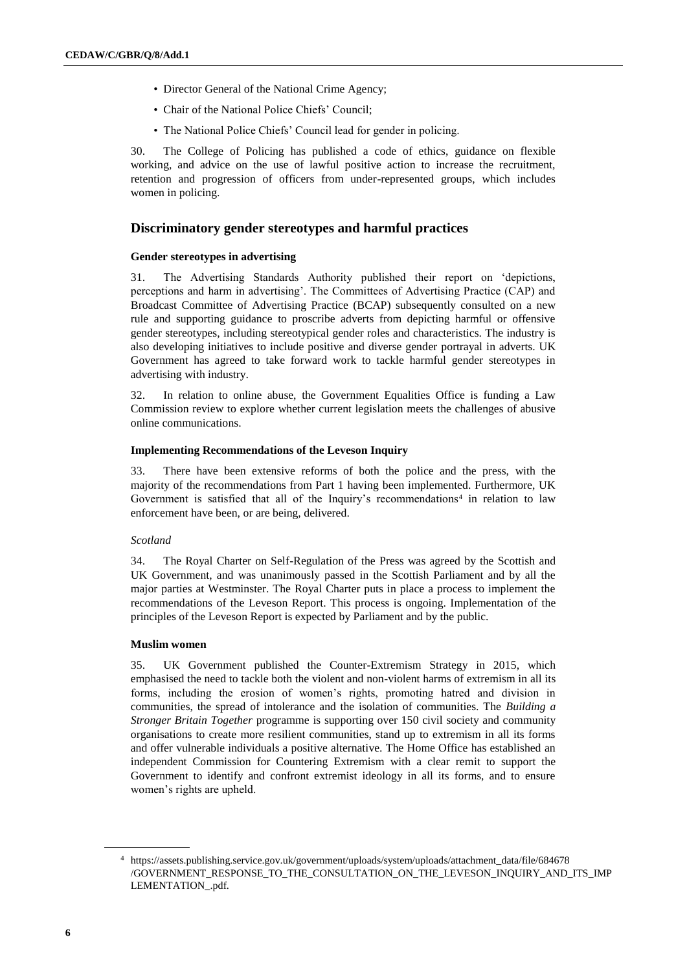- Director General of the National Crime Agency;
- Chair of the National Police Chiefs' Council;
- The National Police Chiefs' Council lead for gender in policing.

30. The College of Policing has published a code of ethics, guidance on flexible working, and advice on the use of lawful positive action to increase the recruitment, retention and progression of officers from under-represented groups, which includes women in policing.

# **Discriminatory gender stereotypes and harmful practices**

### **Gender stereotypes in advertising**

31. The Advertising Standards Authority published their report on 'depictions, perceptions and harm in advertising'. The Committees of Advertising Practice (CAP) and Broadcast Committee of Advertising Practice (BCAP) subsequently consulted on a new rule and supporting guidance to proscribe adverts from depicting harmful or offensive gender stereotypes, including stereotypical gender roles and characteristics. The industry is also developing initiatives to include positive and diverse gender portrayal in adverts. UK Government has agreed to take forward work to tackle harmful gender stereotypes in advertising with industry.

32. In relation to online abuse, the Government Equalities Office is funding a Law Commission review to explore whether current legislation meets the challenges of abusive online communications.

### **Implementing Recommendations of the Leveson Inquiry**

33. There have been extensive reforms of both the police and the press, with the majority of the recommendations from Part 1 having been implemented. Furthermore, UK Government is satisfied that all of the Inquiry's recommendations<sup>4</sup> in relation to law enforcement have been, or are being, delivered.

### *Scotland*

34. The Royal Charter on Self-Regulation of the Press was agreed by the Scottish and UK Government, and was unanimously passed in the Scottish Parliament and by all the major parties at Westminster. The Royal Charter puts in place a process to implement the recommendations of the Leveson Report. This process is ongoing. Implementation of the principles of the Leveson Report is expected by Parliament and by the public.

#### **Muslim women**

35. UK Government published the Counter-Extremism Strategy in 2015, which emphasised the need to tackle both the violent and non-violent harms of extremism in all its forms, including the erosion of women's rights, promoting hatred and division in communities, the spread of intolerance and the isolation of communities. The *Building a Stronger Britain Together* programme is supporting over 150 civil society and community organisations to create more resilient communities, stand up to extremism in all its forms and offer vulnerable individuals a positive alternative. The Home Office has established an independent Commission for Countering Extremism with a clear remit to support the Government to identify and confront extremist ideology in all its forms, and to ensure women's rights are upheld.

<sup>4</sup> [https://assets.publishing.service.gov.uk/government/uploads/system/uploads/attachment\\_data/file/684678](https://assets.publishing.service.gov.uk/government/uploads/system/uploads/attachment_data/file/684678) /GOVERNMENT\_RESPONSE\_TO\_THE\_CONSULTATION\_ON\_THE\_LEVESON\_INQUIRY\_AND\_ITS\_IMP LEMENTATION\_.pdf.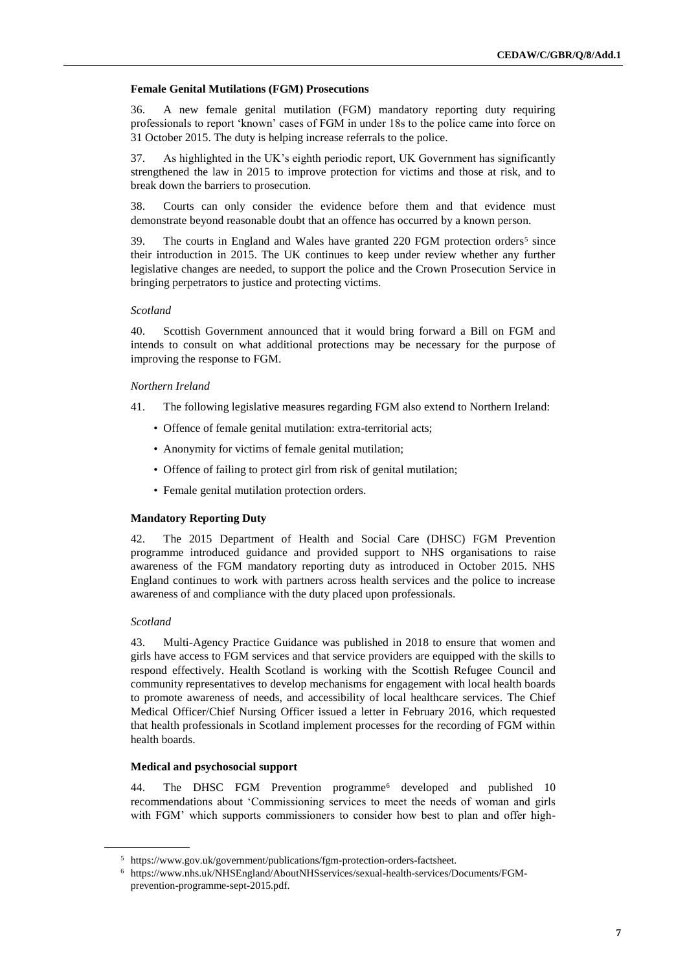#### **Female Genital Mutilations (FGM) Prosecutions**

36. A new female genital mutilation (FGM) mandatory reporting duty requiring professionals to report 'known' cases of FGM in under 18s to the police came into force on 31 October 2015. The duty is helping increase referrals to the police.

37. As highlighted in the UK's eighth periodic report, UK Government has significantly strengthened the law in 2015 to improve protection for victims and those at risk, and to break down the barriers to prosecution.

38. Courts can only consider the evidence before them and that evidence must demonstrate beyond reasonable doubt that an offence has occurred by a known person.

39. The courts in England and Wales have granted 220 FGM protection orders<sup>5</sup> since their introduction in 2015. The UK continues to keep under review whether any further legislative changes are needed, to support the police and the Crown Prosecution Service in bringing perpetrators to justice and protecting victims.

#### *Scotland*

40. Scottish Government announced that it would bring forward a Bill on FGM and intends to consult on what additional protections may be necessary for the purpose of improving the response to FGM.

#### *Northern Ireland*

- 41. The following legislative measures regarding FGM also extend to Northern Ireland:
	- Offence of female genital mutilation: extra-territorial acts;
	- Anonymity for victims of female genital mutilation;
	- Offence of failing to protect girl from risk of genital mutilation;
	- Female genital mutilation protection orders.

#### **Mandatory Reporting Duty**

42. The 2015 Department of Health and Social Care (DHSC) FGM Prevention programme introduced guidance and provided support to NHS organisations to raise awareness of the FGM mandatory reporting duty as introduced in October 2015. NHS England continues to work with partners across health services and the police to increase awareness of and compliance with the duty placed upon professionals.

#### *Scotland*

43. Multi-Agency Practice Guidance was published in 2018 to ensure that women and girls have access to FGM services and that service providers are equipped with the skills to respond effectively. Health Scotland is working with the Scottish Refugee Council and community representatives to develop mechanisms for engagement with local health boards to promote awareness of needs, and accessibility of local healthcare services. The Chief Medical Officer/Chief Nursing Officer issued a letter in February 2016, which requested that health professionals in Scotland implement processes for the recording of FGM within health boards.

#### **Medical and psychosocial support**

44. The DHSC FGM Prevention programme<sup>6</sup> developed and published 10 recommendations about 'Commissioning services to meet the needs of woman and girls with FGM' which supports commissioners to consider how best to plan and offer high-

<sup>5</sup> https://www.gov.uk/government/publications/fgm-protection-orders-factsheet.

<sup>6</sup> [https://www.nhs.uk/NHSEngland/AboutNHSservices/sexual-health-services/Documents/FGM](https://www.nhs.uk/NHSEngland/AboutNHSservices/sexual-health-services/Documents/FGM-prevention-programme-sept-2015.pdf)[prevention-programme-sept-2015.pdf.](https://www.nhs.uk/NHSEngland/AboutNHSservices/sexual-health-services/Documents/FGM-prevention-programme-sept-2015.pdf)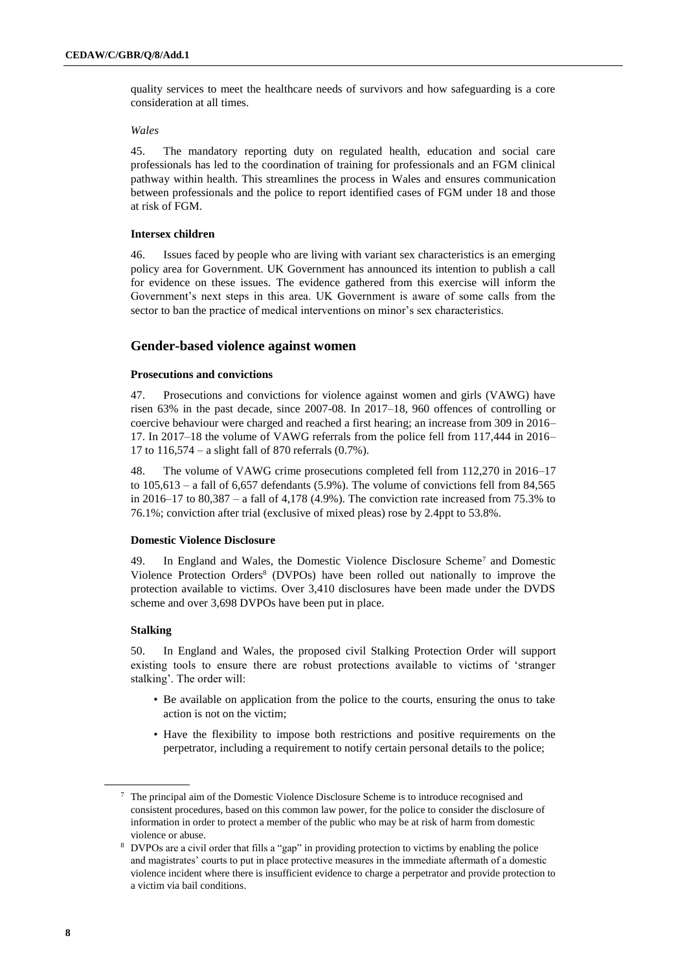quality services to meet the healthcare needs of survivors and how safeguarding is a core consideration at all times.

#### *Wales*

45. The mandatory reporting duty on regulated health, education and social care professionals has led to the coordination of training for professionals and an FGM clinical pathway within health. This streamlines the process in Wales and ensures communication between professionals and the police to report identified cases of FGM under 18 and those at risk of FGM.

#### **Intersex children**

46. Issues faced by people who are living with variant sex characteristics is an emerging policy area for Government. UK Government has announced its intention to publish a call for evidence on these issues. The evidence gathered from this exercise will inform the Government's next steps in this area. UK Government is aware of some calls from the sector to ban the practice of medical interventions on minor's sex characteristics.

### **Gender-based violence against women**

### **Prosecutions and convictions**

47. Prosecutions and convictions for violence against women and girls (VAWG) have risen 63% in the past decade, since 2007-08. In 2017–18, 960 offences of controlling or coercive behaviour were charged and reached a first hearing; an increase from 309 in 2016– 17. In 2017–18 the volume of VAWG referrals from the police fell from 117,444 in 2016– 17 to 116,574 – a slight fall of 870 referrals (0.7%).

48. The volume of VAWG crime prosecutions completed fell from 112,270 in 2016–17 to  $105,613$  – a fall of 6,657 defendants (5.9%). The volume of convictions fell from 84,565 in 2016–17 to 80,387 – a fall of 4,178 (4.9%). The conviction rate increased from 75.3% to 76.1%; conviction after trial (exclusive of mixed pleas) rose by 2.4ppt to 53.8%.

#### **Domestic Violence Disclosure**

49. In England and Wales, the Domestic Violence Disclosure Scheme<sup>7</sup> and Domestic Violence Protection Orders<sup>8</sup> (DVPOs) have been rolled out nationally to improve the protection available to victims. Over 3,410 disclosures have been made under the DVDS scheme and over 3,698 DVPOs have been put in place.

#### **Stalking**

50. In England and Wales, the proposed civil Stalking Protection Order will support existing tools to ensure there are robust protections available to victims of 'stranger stalking'. The order will:

- Be available on application from the police to the courts, ensuring the onus to take action is not on the victim;
- Have the flexibility to impose both restrictions and positive requirements on the perpetrator, including a requirement to notify certain personal details to the police;

<sup>7</sup> The principal aim of the Domestic Violence Disclosure Scheme is to introduce recognised and consistent procedures, based on this common law power, for the police to consider the disclosure of information in order to protect a member of the public who may be at risk of harm from domestic violence or abuse.

<sup>8</sup> DVPOs are a civil order that fills a "gap" in providing protection to victims by enabling the police and magistrates' courts to put in place protective measures in the immediate aftermath of a domestic violence incident where there is insufficient evidence to charge a perpetrator and provide protection to a victim via bail conditions.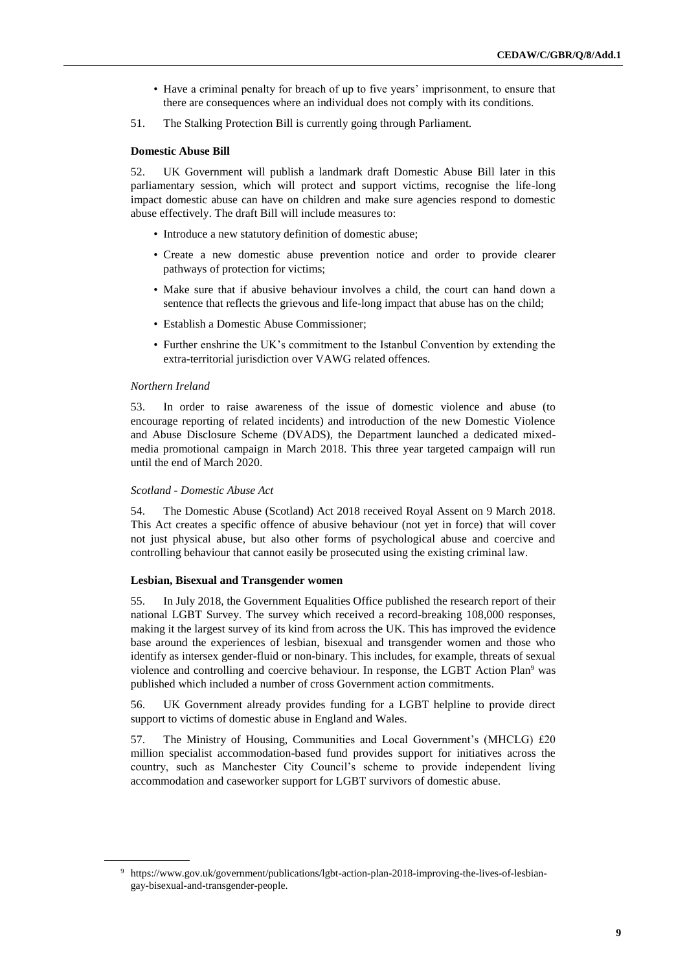- Have a criminal penalty for breach of up to five years' imprisonment, to ensure that there are consequences where an individual does not comply with its conditions.
- 51. The Stalking Protection Bill is currently going through Parliament.

#### **Domestic Abuse Bill**

52. UK Government will publish a landmark draft Domestic Abuse Bill later in this parliamentary session, which will protect and support victims, recognise the life-long impact domestic abuse can have on children and make sure agencies respond to domestic abuse effectively. The draft Bill will include measures to:

- Introduce a new statutory definition of domestic abuse;
- Create a new domestic abuse prevention notice and order to provide clearer pathways of protection for victims;
- Make sure that if abusive behaviour involves a child, the court can hand down a sentence that reflects the grievous and life-long impact that abuse has on the child;
- Establish a Domestic Abuse Commissioner;
- Further enshrine the UK's commitment to the Istanbul Convention by extending the extra-territorial jurisdiction over VAWG related offences.

### *Northern Ireland*

53. In order to raise awareness of the issue of domestic violence and abuse (to encourage reporting of related incidents) and introduction of the new Domestic Violence and Abuse Disclosure Scheme (DVADS), the Department launched a dedicated mixedmedia promotional campaign in March 2018. This three year targeted campaign will run until the end of March 2020.

#### *Scotland - Domestic Abuse Act*

54. The Domestic Abuse (Scotland) Act 2018 received Royal Assent on 9 March 2018. This Act creates a specific offence of abusive behaviour (not yet in force) that will cover not just physical abuse, but also other forms of psychological abuse and coercive and controlling behaviour that cannot easily be prosecuted using the existing criminal law.

#### **Lesbian, Bisexual and Transgender women**

55. In July 2018, the Government Equalities Office published the research report of their national LGBT Survey. The survey which received a record-breaking 108,000 responses, making it the largest survey of its kind from across the UK. This has improved the evidence base around the experiences of lesbian, bisexual and transgender women and those who identify as intersex gender-fluid or non-binary. This includes, for example, threats of sexual violence and controlling and coercive behaviour. In response, the LGBT Action Plan<sup>9</sup> was published which included a number of cross Government action commitments.

56. UK Government already provides funding for a LGBT helpline to provide direct support to victims of domestic abuse in England and Wales.

57. The Ministry of Housing, Communities and Local Government's (MHCLG) £20 million specialist accommodation-based fund provides support for initiatives across the country, such as Manchester City Council's scheme to provide independent living accommodation and caseworker support for LGBT survivors of domestic abuse.

<sup>9</sup> https://www.gov.uk/government/publications/lgbt-action-plan-2018-improving-the-lives-of-lesbiangay-bisexual-and-transgender-people.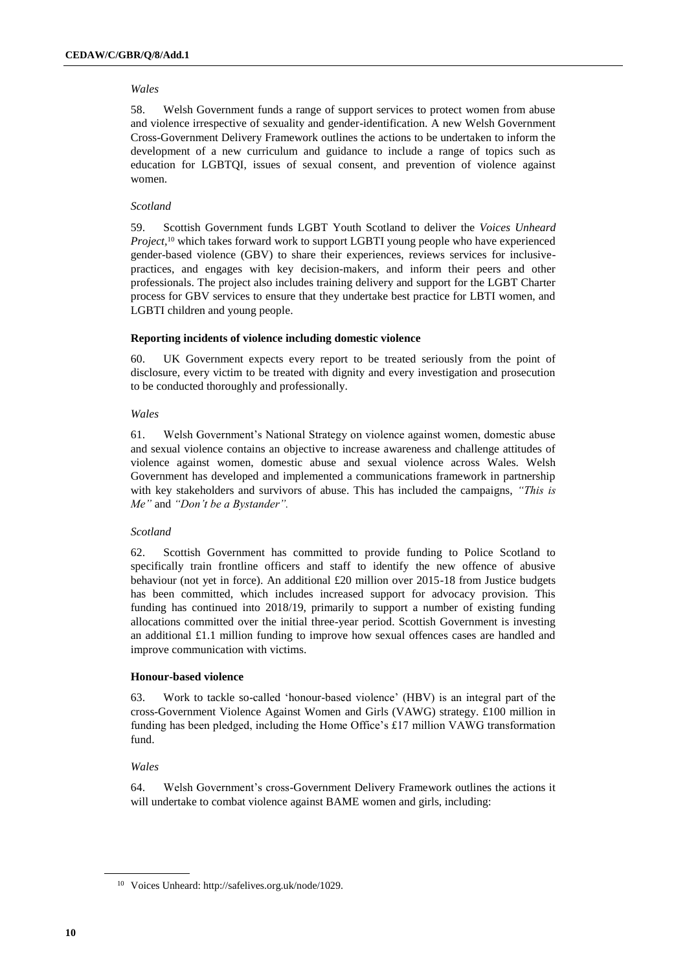### *Wales*

58. Welsh Government funds a range of support services to protect women from abuse and violence irrespective of sexuality and gender-identification. A new Welsh Government Cross-Government Delivery Framework outlines the actions to be undertaken to inform the development of a new curriculum and guidance to include a range of topics such as education for LGBTQI, issues of sexual consent, and prevention of violence against women.

### *Scotland*

59. Scottish Government funds LGBT Youth Scotland to deliver the *Voices Unheard Project,*<sup>10</sup> which takes forward work to support LGBTI young people who have experienced gender-based violence (GBV) to share their experiences, reviews services for inclusivepractices, and engages with key decision-makers, and inform their peers and other professionals. The project also includes training delivery and support for the LGBT Charter process for GBV services to ensure that they undertake best practice for LBTI women, and LGBTI children and young people.

### **Reporting incidents of violence including domestic violence**

60. UK Government expects every report to be treated seriously from the point of disclosure, every victim to be treated with dignity and every investigation and prosecution to be conducted thoroughly and professionally.

### *Wales*

61. Welsh Government's National Strategy on violence against women, domestic abuse and sexual violence contains an objective to increase awareness and challenge attitudes of violence against women, domestic abuse and sexual violence across Wales. Welsh Government has developed and implemented a communications framework in partnership with key stakeholders and survivors of abuse. This has included the campaigns, *"This is Me"* and *"Don't be a Bystander".*

### *Scotland*

62. Scottish Government has committed to provide funding to Police Scotland to specifically train frontline officers and staff to identify the new offence of abusive behaviour (not yet in force). An additional £20 million over 2015-18 from Justice budgets has been committed, which includes increased support for advocacy provision. This funding has continued into 2018/19, primarily to support a number of existing funding allocations committed over the initial three-year period. Scottish Government is investing an additional £1.1 million funding to improve how sexual offences cases are handled and improve communication with victims.

### **Honour-based violence**

63. Work to tackle so-called 'honour-based violence' (HBV) is an integral part of the cross-Government Violence Against Women and Girls (VAWG) strategy. £100 million in funding has been pledged, including the Home Office's £17 million VAWG transformation fund.

### *Wales*

64. Welsh Government's cross-Government Delivery Framework outlines the actions it will undertake to combat violence against BAME women and girls, including:

<sup>10</sup> Voices Unheard: http://safelives.org.uk/node/1029.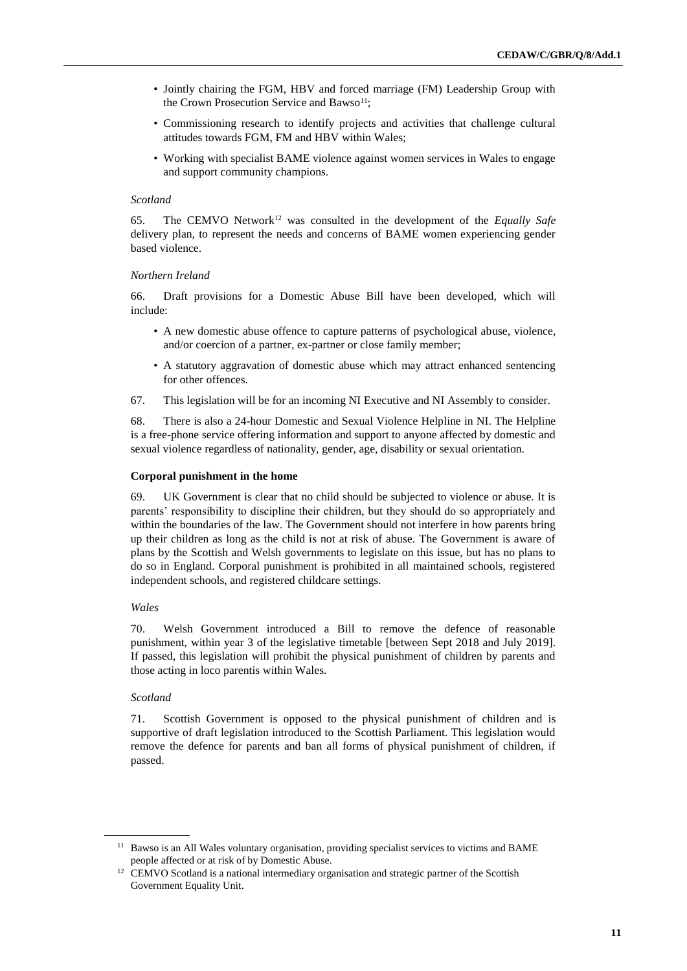- Jointly chairing the FGM, HBV and forced marriage (FM) Leadership Group with the Crown Prosecution Service and Bawso<sup>11</sup>;
- Commissioning research to identify projects and activities that challenge cultural attitudes towards FGM, FM and HBV within Wales;
- Working with specialist BAME violence against women services in Wales to engage and support community champions.

#### *Scotland*

65. The CEMVO Network<sup>12</sup> was consulted in the development of the *Equally Safe* delivery plan, to represent the needs and concerns of BAME women experiencing gender based violence.

### *Northern Ireland*

66. Draft provisions for a Domestic Abuse Bill have been developed, which will include:

- A new domestic abuse offence to capture patterns of psychological abuse, violence, and/or coercion of a partner, ex-partner or close family member;
- A statutory aggravation of domestic abuse which may attract enhanced sentencing for other offences.
- 67. This legislation will be for an incoming NI Executive and NI Assembly to consider.

68. There is also a 24-hour Domestic and Sexual Violence Helpline in NI. The Helpline is a free-phone service offering information and support to anyone affected by domestic and sexual violence regardless of nationality, gender, age, disability or sexual orientation.

#### **Corporal punishment in the home**

69. UK Government is clear that no child should be subjected to violence or abuse. It is parents' responsibility to discipline their children, but they should do so appropriately and within the boundaries of the law. The Government should not interfere in how parents bring up their children as long as the child is not at risk of abuse. The Government is aware of plans by the Scottish and Welsh governments to legislate on this issue, but has no plans to do so in England. Corporal punishment is prohibited in all maintained schools, registered independent schools, and registered childcare settings.

#### *Wales*

70. Welsh Government introduced a Bill to remove the defence of reasonable punishment, within year 3 of the legislative timetable [between Sept 2018 and July 2019]. If passed, this legislation will prohibit the physical punishment of children by parents and those acting in loco parentis within Wales.

#### *Scotland*

71. Scottish Government is opposed to the physical punishment of children and is supportive of draft legislation introduced to the Scottish Parliament. This legislation would remove the defence for parents and ban all forms of physical punishment of children, if passed.

<sup>&</sup>lt;sup>11</sup> Bawso is an All Wales voluntary organisation, providing specialist services to victims and BAME people affected or at risk of by Domestic Abuse.

<sup>&</sup>lt;sup>12</sup> CEMVO Scotland is a national intermediary organisation and strategic partner of the Scottish Government Equality Unit.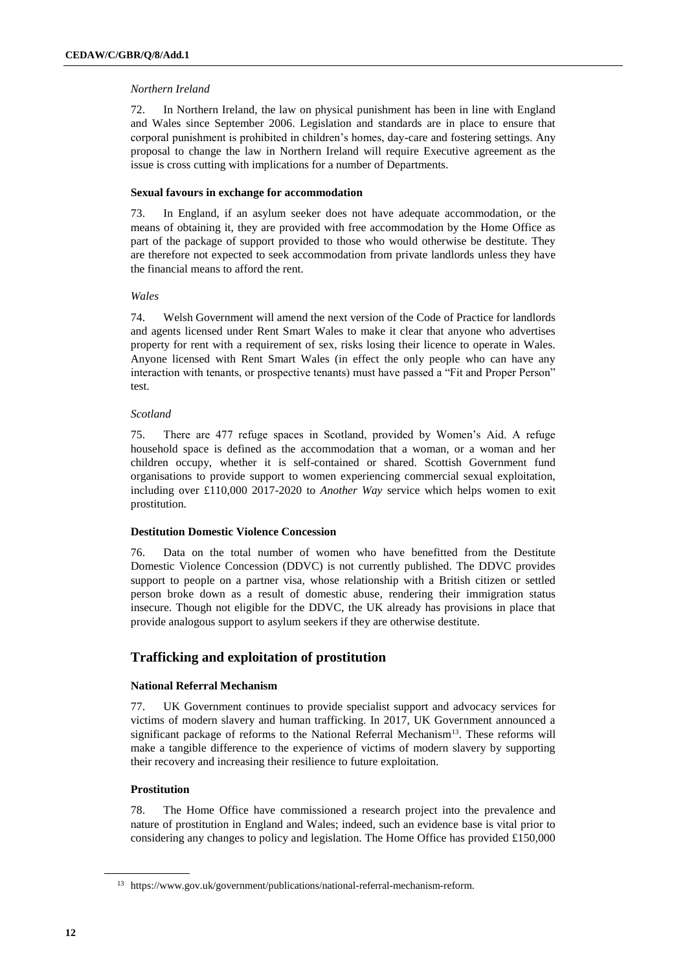### *Northern Ireland*

72. In Northern Ireland, the law on physical punishment has been in line with England and Wales since September 2006. Legislation and standards are in place to ensure that corporal punishment is prohibited in children's homes, day-care and fostering settings. Any proposal to change the law in Northern Ireland will require Executive agreement as the issue is cross cutting with implications for a number of Departments.

### **Sexual favours in exchange for accommodation**

73. In England, if an asylum seeker does not have adequate accommodation, or the means of obtaining it, they are provided with free accommodation by the Home Office as part of the package of support provided to those who would otherwise be destitute. They are therefore not expected to seek accommodation from private landlords unless they have the financial means to afford the rent.

### *Wales*

74. Welsh Government will amend the next version of the Code of Practice for landlords and agents licensed under Rent Smart Wales to make it clear that anyone who advertises property for rent with a requirement of sex, risks losing their licence to operate in Wales. Anyone licensed with Rent Smart Wales (in effect the only people who can have any interaction with tenants, or prospective tenants) must have passed a "Fit and Proper Person" test.

### *Scotland*

75. There are 477 refuge spaces in Scotland, provided by Women's Aid. A refuge household space is defined as the accommodation that a woman, or a woman and her children occupy, whether it is self-contained or shared. Scottish Government fund organisations to provide support to women experiencing commercial sexual exploitation, including over £110,000 2017-2020 to *Another Way* service which helps women to exit prostitution.

### **Destitution Domestic Violence Concession**

76. Data on the total number of women who have benefitted from the Destitute Domestic Violence Concession (DDVC) is not currently published. The DDVC provides support to people on a partner visa, whose relationship with a British citizen or settled person broke down as a result of domestic abuse, rendering their immigration status insecure. Though not eligible for the DDVC, the UK already has provisions in place that provide analogous support to asylum seekers if they are otherwise destitute.

# **Trafficking and exploitation of prostitution**

### **National Referral Mechanism**

77. UK Government continues to provide specialist support and advocacy services for victims of modern slavery and human trafficking. In 2017, UK Government announced a significant package of reforms to the National Referral Mechanism<sup>13</sup>. These reforms will make a tangible difference to the experience of victims of modern slavery by supporting their recovery and increasing their resilience to future exploitation.

# **Prostitution**

78. The Home Office have commissioned a research project into the prevalence and nature of prostitution in England and Wales; indeed, such an evidence base is vital prior to considering any changes to policy and legislation. The Home Office has provided £150,000

<sup>13</sup> https://www.gov.uk/government/publications/national-referral-mechanism-reform.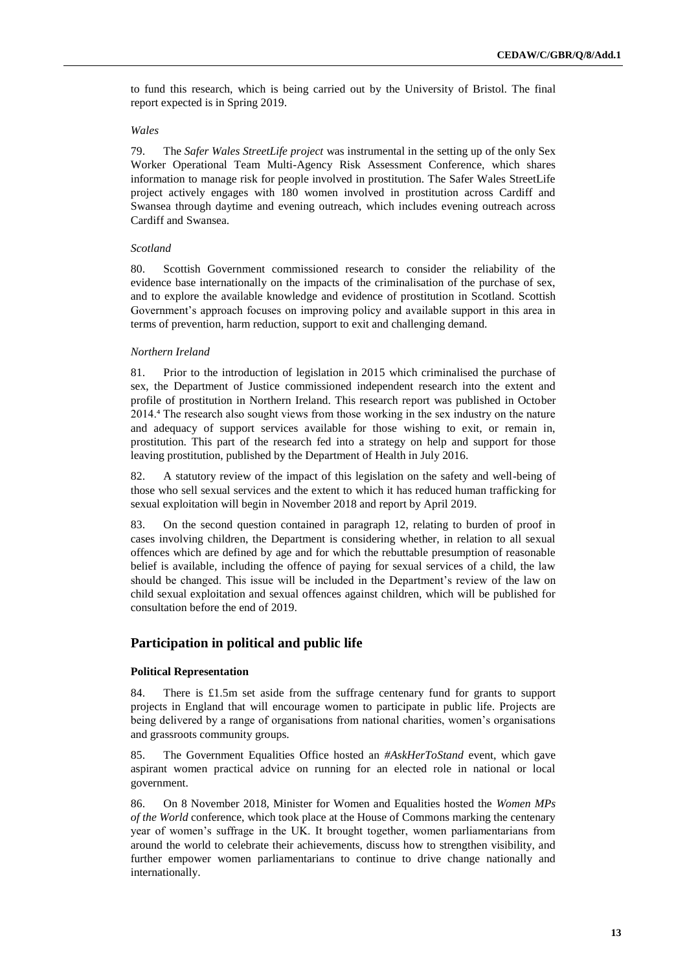to fund this research, which is being carried out by the University of Bristol. The final report expected is in Spring 2019.

#### *Wales*

79. The *Safer Wales StreetLife project* was instrumental in the setting up of the only Sex Worker Operational Team Multi-Agency Risk Assessment Conference, which shares information to manage risk for people involved in prostitution. The Safer Wales StreetLife project actively engages with 180 women involved in prostitution across Cardiff and Swansea through daytime and evening outreach, which includes evening outreach across Cardiff and Swansea.

#### *Scotland*

80. Scottish Government commissioned research to consider the reliability of the evidence base internationally on the impacts of the criminalisation of the purchase of sex, and to explore the available knowledge and evidence of prostitution in Scotland. Scottish Government's approach focuses on improving policy and available support in this area in terms of prevention, harm reduction, support to exit and challenging demand.

#### *Northern Ireland*

81. Prior to the introduction of legislation in 2015 which criminalised the purchase of sex, the Department of Justice commissioned independent research into the extent and profile of prostitution in Northern Ireland. This research report was published in October 2014.⁴ The research also sought views from those working in the sex industry on the nature and adequacy of support services available for those wishing to exit, or remain in, prostitution. This part of the research fed into a strategy on help and support for those leaving prostitution, published by the Department of Health in July 2016.

82. A statutory review of the impact of this legislation on the safety and well-being of those who sell sexual services and the extent to which it has reduced human trafficking for sexual exploitation will begin in November 2018 and report by April 2019.

83. On the second question contained in paragraph 12, relating to burden of proof in cases involving children, the Department is considering whether, in relation to all sexual offences which are defined by age and for which the rebuttable presumption of reasonable belief is available, including the offence of paying for sexual services of a child, the law should be changed. This issue will be included in the Department's review of the law on child sexual exploitation and sexual offences against children, which will be published for consultation before the end of 2019.

### **Participation in political and public life**

#### **Political Representation**

84. There is £1.5m set aside from the suffrage centenary fund for grants to support projects in England that will encourage women to participate in public life. Projects are being delivered by a range of organisations from national charities, women's organisations and grassroots community groups.

85. The Government Equalities Office hosted an *#AskHerToStand* event, which gave aspirant women practical advice on running for an elected role in national or local government.

86. On 8 November 2018, Minister for Women and Equalities hosted the *Women MPs of the World* conference, which took place at the House of Commons marking the centenary year of women's suffrage in the UK. It brought together, women parliamentarians from around the world to celebrate their achievements, discuss how to strengthen visibility, and further empower women parliamentarians to continue to drive change nationally and internationally.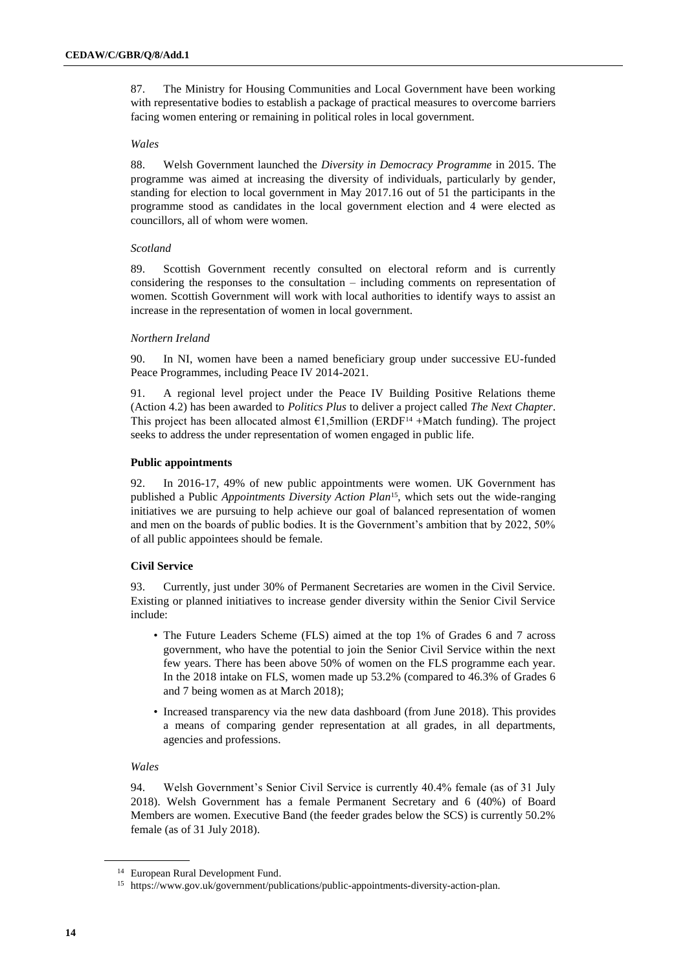87. The Ministry for Housing Communities and Local Government have been working with representative bodies to establish a package of practical measures to overcome barriers facing women entering or remaining in political roles in local government.

### *Wales*

88. Welsh Government launched the *Diversity in Democracy Programme* in 2015. The programme was aimed at increasing the diversity of individuals, particularly by gender, standing for election to local government in May 2017.16 out of 51 the participants in the programme stood as candidates in the local government election and 4 were elected as councillors, all of whom were women.

### *Scotland*

89. Scottish Government recently consulted on electoral reform and is currently considering the responses to the consultation – including comments on representation of women. Scottish Government will work with local authorities to identify ways to assist an increase in the representation of women in local government.

### *Northern Ireland*

90. In NI, women have been a named beneficiary group under successive EU-funded Peace Programmes, including Peace IV 2014-2021.

91. A regional level project under the Peace IV Building Positive Relations theme (Action 4.2) has been awarded to *Politics Plus* to deliver a project called *The Next Chapter*. This project has been allocated almost  $\epsilon$ 1,5million (ERDF<sup>14</sup> +Match funding). The project seeks to address the under representation of women engaged in public life.

### **Public appointments**

92. In 2016-17, 49% of new public appointments were women. UK Government has published a Public *Appointments Diversity Action Plan*15, which sets out the wide-ranging initiatives we are pursuing to help achieve our goal of balanced representation of women and men on the boards of public bodies. It is the Government's ambition that by 2022, 50% of all public appointees should be female.

### **Civil Service**

93. Currently, just under 30% of Permanent Secretaries are women in the Civil Service. Existing or planned initiatives to increase gender diversity within the Senior Civil Service include:

- The Future Leaders Scheme (FLS) aimed at the top 1% of Grades 6 and 7 across government, who have the potential to join the Senior Civil Service within the next few years. There has been above 50% of women on the FLS programme each year. In the 2018 intake on FLS, women made up 53.2% (compared to 46.3% of Grades 6 and 7 being women as at March 2018);
- Increased transparency via the new data dashboard (from June 2018). This provides a means of comparing gender representation at all grades, in all departments, agencies and professions.

### *Wales*

94. Welsh Government's Senior Civil Service is currently 40.4% female (as of 31 July 2018). Welsh Government has a female Permanent Secretary and 6 (40%) of Board Members are women. Executive Band (the feeder grades below the SCS) is currently 50.2% female (as of 31 July 2018).

<sup>14</sup> European Rural Development Fund.

<sup>15</sup> https://www.gov.uk/government/publications/public-appointments-diversity-action-plan.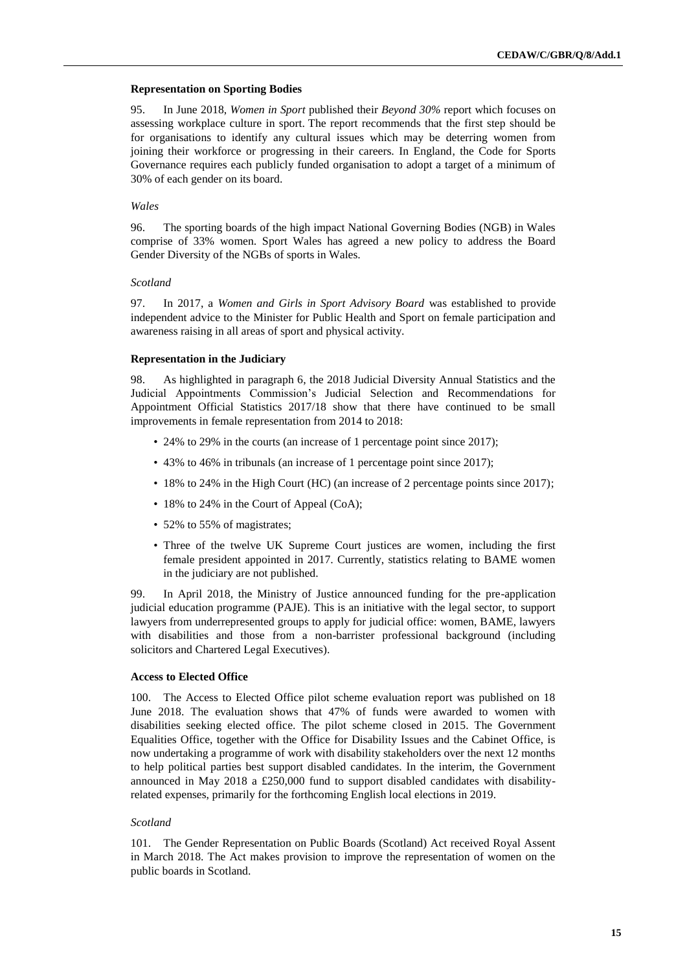#### **Representation on Sporting Bodies**

95. In June 2018, *Women in Sport* published their *Beyond 30%* report which focuses on assessing workplace culture in sport. The report recommends that the first step should be for organisations to identify any cultural issues which may be deterring women from joining their workforce or progressing in their careers. In England, the Code for Sports Governance requires each publicly funded organisation to adopt a target of a minimum of 30% of each gender on its board.

#### *Wales*

96. The sporting boards of the high impact National Governing Bodies (NGB) in Wales comprise of 33% women. Sport Wales has agreed a new policy to address the Board Gender Diversity of the NGBs of sports in Wales.

### *Scotland*

97. In 2017, a *Women and Girls in Sport Advisory Board* was established to provide independent advice to the Minister for Public Health and Sport on female participation and awareness raising in all areas of sport and physical activity.

#### **Representation in the Judiciary**

98. As highlighted in paragraph 6, the 2018 Judicial Diversity Annual Statistics and the Judicial Appointments Commission's Judicial Selection and Recommendations for Appointment Official Statistics 2017/18 show that there have continued to be small improvements in female representation from 2014 to 2018:

- 24% to 29% in the courts (an increase of 1 percentage point since 2017);
- 43% to 46% in tribunals (an increase of 1 percentage point since 2017);
- 18% to 24% in the High Court (HC) (an increase of 2 percentage points since 2017);
- 18% to 24% in the Court of Appeal (CoA);
- 52% to 55% of magistrates;
- Three of the twelve UK Supreme Court justices are women, including the first female president appointed in 2017. Currently, statistics relating to BAME women in the judiciary are not published.

99. In April 2018, the Ministry of Justice announced funding for the pre-application judicial education programme (PAJE). This is an initiative with the legal sector, to support lawyers from underrepresented groups to apply for judicial office: women, BAME, lawyers with disabilities and those from a non-barrister professional background (including solicitors and Chartered Legal Executives).

### **Access to Elected Office**

100. The Access to Elected Office pilot scheme evaluation report was published on 18 June 2018. The evaluation shows that 47% of funds were awarded to women with disabilities seeking elected office. The pilot scheme closed in 2015. The Government Equalities Office, together with the Office for Disability Issues and the Cabinet Office, is now undertaking a programme of work with disability stakeholders over the next 12 months to help political parties best support disabled candidates. In the interim, the Government announced in May 2018 a £250,000 fund to support disabled candidates with disabilityrelated expenses, primarily for the forthcoming English local elections in 2019.

#### *Scotland*

101. The Gender Representation on Public Boards (Scotland) Act received Royal Assent in March 2018. The Act makes provision to improve the representation of women on the public boards in Scotland.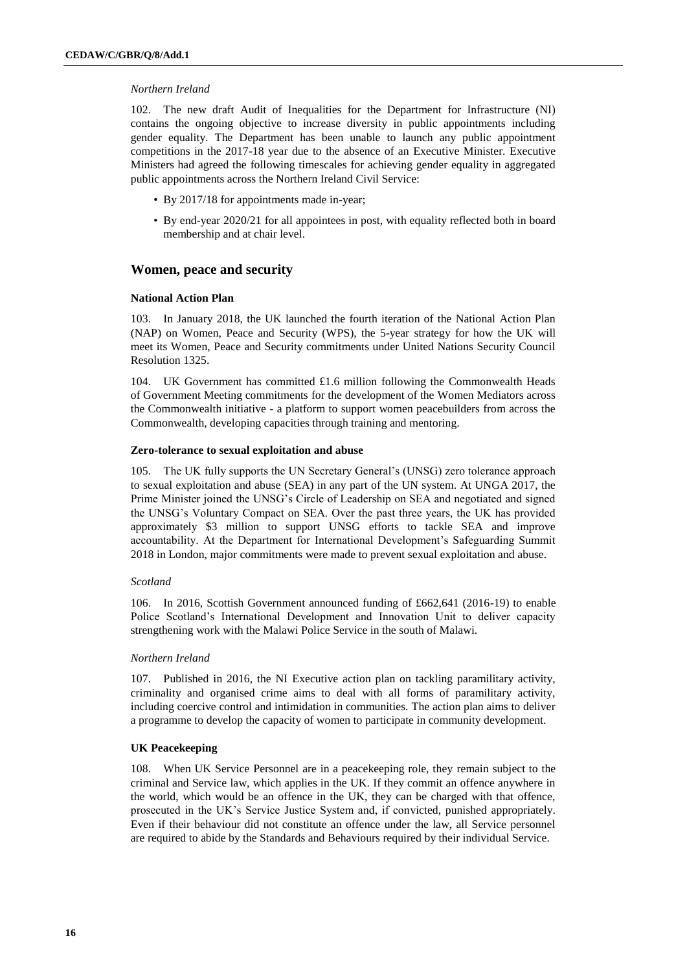#### *Northern Ireland*

102. The new draft Audit of Inequalities for the Department for Infrastructure (NI) contains the ongoing objective to increase diversity in public appointments including gender equality. The Department has been unable to launch any public appointment competitions in the 2017-18 year due to the absence of an Executive Minister. Executive Ministers had agreed the following timescales for achieving gender equality in aggregated public appointments across the Northern Ireland Civil Service:

- By 2017/18 for appointments made in-year;
- By end-year 2020/21 for all appointees in post, with equality reflected both in board membership and at chair level.

# **Women, peace and security**

### **National Action Plan**

103. In January 2018, the UK launched the fourth iteration of the National Action Plan (NAP) on Women, Peace and Security (WPS), the 5-year strategy for how the UK will meet its Women, Peace and Security commitments under United Nations Security Council Resolution 1325.

104. UK Government has committed £1.6 million following the Commonwealth Heads of Government Meeting commitments for the development of the Women Mediators across the Commonwealth initiative - a platform to support women peacebuilders from across the Commonwealth, developing capacities through training and mentoring.

### **Zero-tolerance to sexual exploitation and abuse**

105. The UK fully supports the UN Secretary General's (UNSG) zero tolerance approach to sexual exploitation and abuse (SEA) in any part of the UN system. At UNGA 2017, the Prime Minister joined the UNSG's Circle of Leadership on SEA and negotiated and signed the UNSG's Voluntary Compact on SEA. Over the past three years, the UK has provided approximately \$3 million to support UNSG efforts to tackle SEA and improve accountability. At the Department for International Development's Safeguarding Summit 2018 in London, major commitments were made to prevent sexual exploitation and abuse.

### *Scotland*

106. In 2016, Scottish Government announced funding of £662,641 (2016-19) to enable Police Scotland's International Development and Innovation Unit to deliver capacity strengthening work with the Malawi Police Service in the south of Malawi.

### *Northern Ireland*

107. Published in 2016, the NI Executive action plan on tackling paramilitary activity, criminality and organised crime aims to deal with all forms of paramilitary activity, including coercive control and intimidation in communities. The action plan aims to deliver a programme to develop the capacity of women to participate in community development.

### **UK Peacekeeping**

108. When UK Service Personnel are in a peacekeeping role, they remain subject to the criminal and Service law, which applies in the UK. If they commit an offence anywhere in the world, which would be an offence in the UK, they can be charged with that offence, prosecuted in the UK's Service Justice System and, if convicted, punished appropriately. Even if their behaviour did not constitute an offence under the law, all Service personnel are required to abide by the Standards and Behaviours required by their individual Service.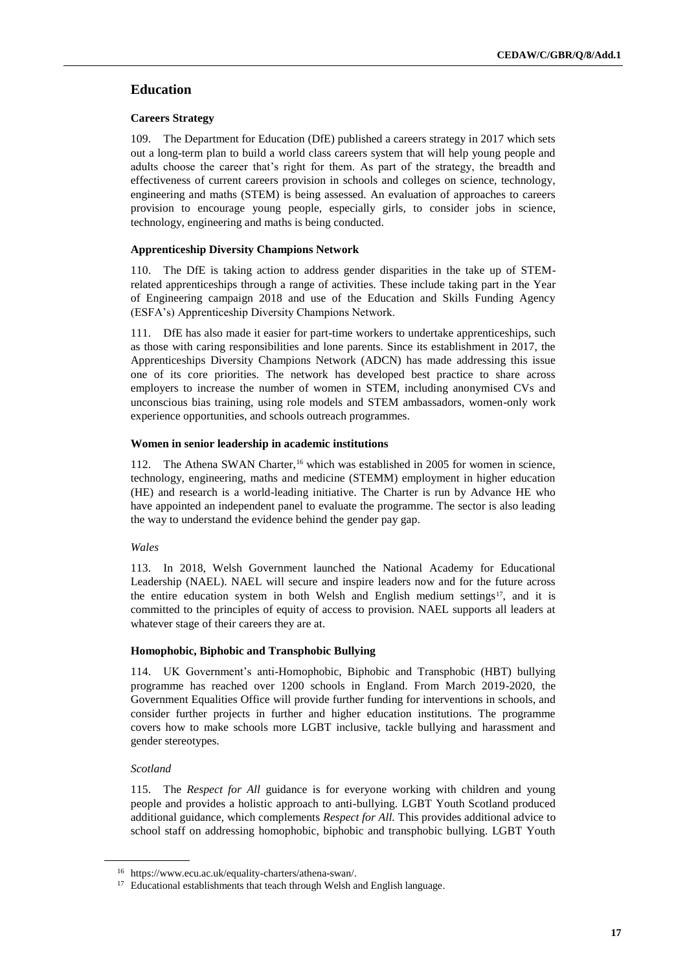# **Education**

# **Careers Strategy**

109. The Department for Education (DfE) published a careers strategy in 2017 which sets out a long-term plan to build a world class careers system that will help young people and adults choose the career that's right for them. As part of the strategy, the breadth and effectiveness of current careers provision in schools and colleges on science, technology, engineering and maths (STEM) is being assessed. An evaluation of approaches to careers provision to encourage young people, especially girls, to consider jobs in science, technology, engineering and maths is being conducted.

# **Apprenticeship Diversity Champions Network**

110. The DfE is taking action to address gender disparities in the take up of STEMrelated apprenticeships through a range of activities. These include taking part in the Year of Engineering campaign 2018 and use of the Education and Skills Funding Agency (ESFA's) Apprenticeship Diversity Champions Network.

111. DfE has also made it easier for part-time workers to undertake apprenticeships, such as those with caring responsibilities and lone parents. Since its establishment in 2017, the Apprenticeships Diversity Champions Network (ADCN) has made addressing this issue one of its core priorities. The network has developed best practice to share across employers to increase the number of women in STEM, including anonymised CVs and unconscious bias training, using role models and STEM ambassadors, women-only work experience opportunities, and schools outreach programmes.

# **Women in senior leadership in academic institutions**

112. The Athena SWAN Charter,<sup>16</sup> which was established in 2005 for women in science, technology, engineering, maths and medicine (STEMM) employment in higher education (HE) and research is a world-leading initiative. The Charter is run by Advance HE who have appointed an independent panel to evaluate the programme. The sector is also leading the way to understand the evidence behind the gender pay gap.

*Wales*

113. In 2018, Welsh Government launched the National Academy for Educational Leadership (NAEL). NAEL will secure and inspire leaders now and for the future across the entire education system in both Welsh and English medium settings<sup>17</sup>, and it is committed to the principles of equity of access to provision. NAEL supports all leaders at whatever stage of their careers they are at.

# **Homophobic, Biphobic and Transphobic Bullying**

114. UK Government's anti-Homophobic, Biphobic and Transphobic (HBT) bullying programme has reached over 1200 schools in England. From March 2019-2020, the Government Equalities Office will provide further funding for interventions in schools, and consider further projects in further and higher education institutions. The programme covers how to make schools more LGBT inclusive, tackle bullying and harassment and gender stereotypes.

# *Scotland*

115. The *Respect for All* guidance is for everyone working with children and young people and provides a holistic approach to anti-bullying. LGBT Youth Scotland produced additional guidance, which complements *Respect for All.* This provides additional advice to school staff on addressing homophobic, biphobic and transphobic bullying. LGBT Youth

<sup>16</sup> [https://www.ecu.ac.uk/equality-charters/athena-swan/.](https://www.ecu.ac.uk/equality-charters/athena-swan/)

<sup>&</sup>lt;sup>17</sup> Educational establishments that teach through Welsh and English language.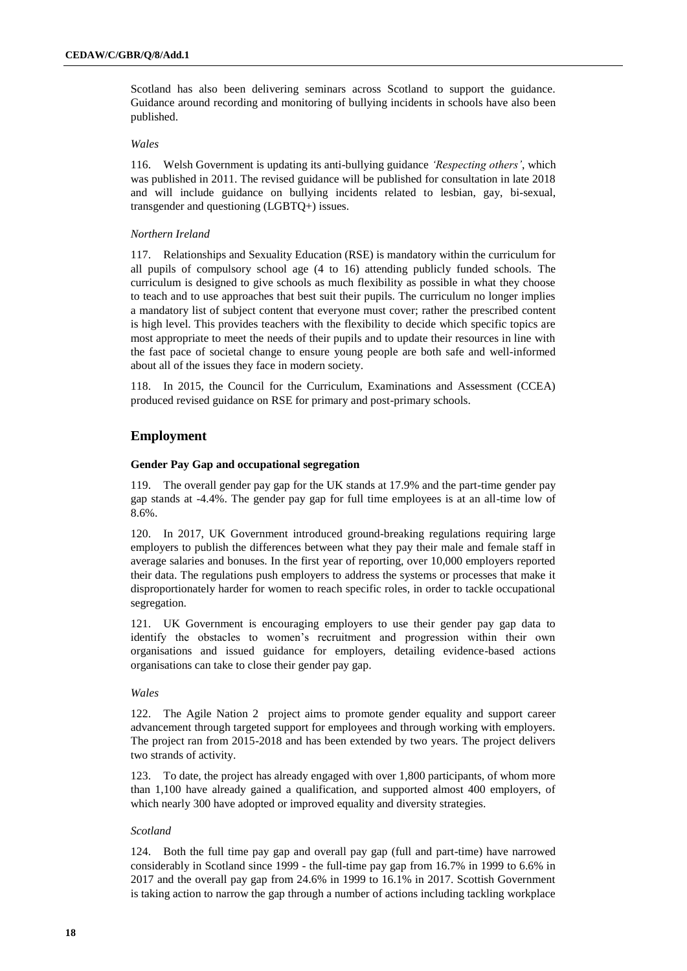Scotland has also been delivering seminars across Scotland to support the guidance. Guidance around recording and monitoring of bullying incidents in schools have also been published.

#### *Wales*

116. Welsh Government is updating its anti-bullying guidance *'Respecting others'*, which was published in 2011. The revised guidance will be published for consultation in late 2018 and will include guidance on bullying incidents related to lesbian, gay, bi-sexual, transgender and questioning (LGBTQ+) issues.

### *Northern Ireland*

117. Relationships and Sexuality Education (RSE) is mandatory within the curriculum for all pupils of compulsory school age (4 to 16) attending publicly funded schools. The curriculum is designed to give schools as much flexibility as possible in what they choose to teach and to use approaches that best suit their pupils. The curriculum no longer implies a mandatory list of subject content that everyone must cover; rather the prescribed content is high level. This provides teachers with the flexibility to decide which specific topics are most appropriate to meet the needs of their pupils and to update their resources in line with the fast pace of societal change to ensure young people are both safe and well-informed about all of the issues they face in modern society.

118. In 2015, the Council for the Curriculum, Examinations and Assessment (CCEA) produced revised guidance on RSE for primary and post-primary schools.

# **Employment**

### **Gender Pay Gap and occupational segregation**

119. The overall gender pay gap for the UK stands at 17.9% and the part-time gender pay gap stands at -4.4%. The gender pay gap for full time employees is at an all-time low of 8.6%.

120. In 2017, UK Government introduced ground-breaking regulations requiring large employers to publish the differences between what they pay their male and female staff in average salaries and bonuses. In the first year of reporting, over 10,000 employers reported their data. The regulations push employers to address the systems or processes that make it disproportionately harder for women to reach specific roles, in order to tackle occupational segregation.

121. UK Government is encouraging employers to use their gender pay gap data to identify the obstacles to women's recruitment and progression within their own organisations and issued guidance for employers, detailing evidence-based actions organisations can take to close their gender pay gap.

### *Wales*

122. The Agile Nation 2 project aims to promote gender equality and support career advancement through targeted support for employees and through working with employers. The project ran from 2015-2018 and has been extended by two years. The project delivers two strands of activity.

123. To date, the project has already engaged with over 1,800 participants, of whom more than 1,100 have already gained a qualification, and supported almost 400 employers, of which nearly 300 have adopted or improved equality and diversity strategies.

#### *Scotland*

124. Both the full time pay gap and overall pay gap (full and part-time) have narrowed considerably in Scotland since 1999 - the full-time pay gap from 16.7% in 1999 to 6.6% in 2017 and the overall pay gap from 24.6% in 1999 to 16.1% in 2017. Scottish Government is taking action to narrow the gap through a number of actions including tackling workplace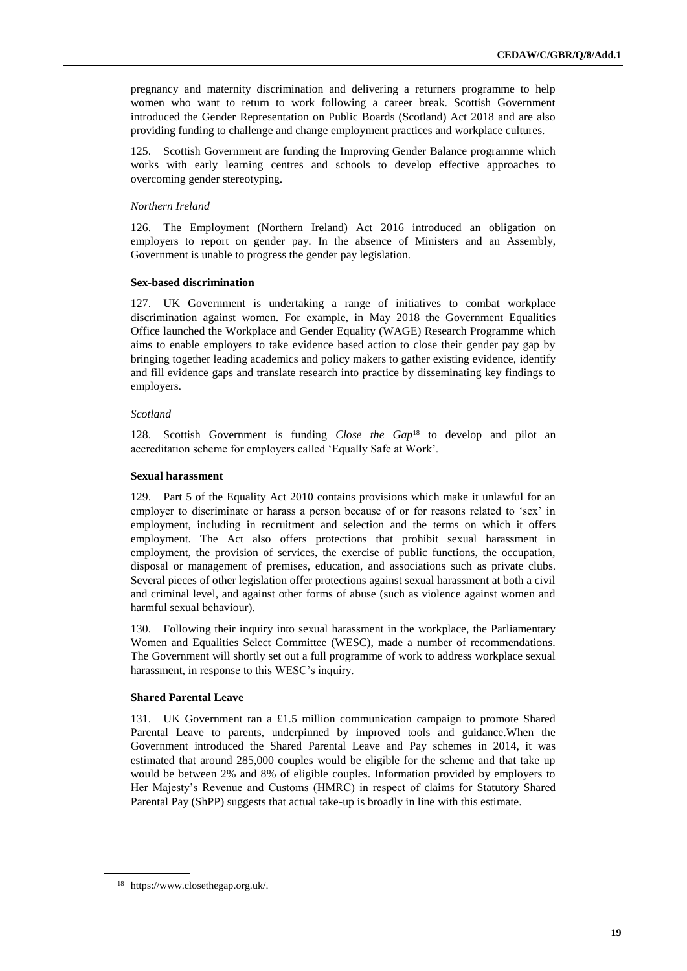pregnancy and maternity discrimination and delivering a returners programme to help women who want to return to work following a career break. Scottish Government introduced the Gender Representation on Public Boards (Scotland) Act 2018 and are also providing funding to challenge and change employment practices and workplace cultures.

125. Scottish Government are funding the Improving Gender Balance programme which works with early learning centres and schools to develop effective approaches to overcoming gender stereotyping.

### *Northern Ireland*

126. The Employment (Northern Ireland) Act 2016 introduced an obligation on employers to report on gender pay. In the absence of Ministers and an Assembly, Government is unable to progress the gender pay legislation.

#### **Sex-based discrimination**

127. UK Government is undertaking a range of initiatives to combat workplace discrimination against women. For example, in May 2018 the Government Equalities Office launched the Workplace and Gender Equality (WAGE) Research Programme which aims to enable employers to take evidence based action to close their gender pay gap by bringing together leading academics and policy makers to gather existing evidence, identify and fill evidence gaps and translate research into practice by disseminating key findings to employers.

### *Scotland*

128. Scottish Government is funding *Close the Gap*<sup>18</sup> to develop and pilot an accreditation scheme for employers called 'Equally Safe at Work'.

### **Sexual harassment**

129. Part 5 of the Equality Act 2010 contains provisions which make it unlawful for an employer to discriminate or harass a person because of or for reasons related to 'sex' in employment, including in recruitment and selection and the terms on which it offers employment. The Act also offers protections that prohibit sexual harassment in employment, the provision of services, the exercise of public functions, the occupation, disposal or management of premises, education, and associations such as private clubs. Several pieces of other legislation offer protections against sexual harassment at both a civil and criminal level, and against other forms of abuse (such as violence against women and harmful sexual behaviour).

130. Following their inquiry into sexual harassment in the workplace, the Parliamentary Women and Equalities Select Committee (WESC), made a number of recommendations. The Government will shortly set out a full programme of work to address workplace sexual harassment, in response to this WESC's inquiry.

### **Shared Parental Leave**

131. UK Government ran a £1.5 million communication campaign to promote Shared Parental Leave to parents, underpinned by improved tools and guidance.When the Government introduced the Shared Parental Leave and Pay schemes in 2014, it was estimated that around 285,000 couples would be eligible for the scheme and that take up would be between 2% and 8% of eligible couples. Information provided by employers to Her Majesty's Revenue and Customs (HMRC) in respect of claims for Statutory Shared Parental Pay (ShPP) suggests that actual take-up is broadly in line with this estimate.

<sup>18</sup> https://www.closethegap.org.uk/.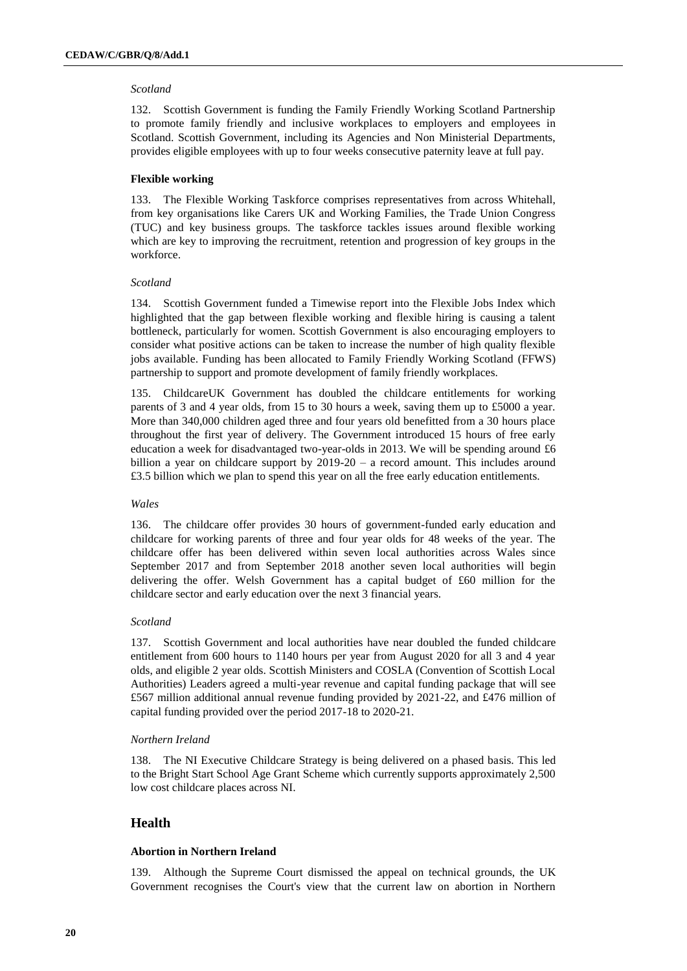### *Scotland*

132. Scottish Government is funding the Family Friendly Working Scotland Partnership to promote family friendly and inclusive workplaces to employers and employees in Scotland. Scottish Government, including its Agencies and Non Ministerial Departments, provides eligible employees with up to four weeks consecutive paternity leave at full pay.

### **Flexible working**

133. The Flexible Working Taskforce comprises representatives from across Whitehall, from key organisations like Carers UK and Working Families, the Trade Union Congress (TUC) and key business groups. The taskforce tackles issues around flexible working which are key to improving the recruitment, retention and progression of key groups in the workforce.

### *Scotland*

134. Scottish Government funded a Timewise report into the Flexible Jobs Index which highlighted that the gap between flexible working and flexible hiring is causing a talent bottleneck, particularly for women. Scottish Government is also encouraging employers to consider what positive actions can be taken to increase the number of high quality flexible jobs available. Funding has been allocated to Family Friendly Working Scotland (FFWS) partnership to support and promote development of family friendly workplaces.

135. ChildcareUK Government has doubled the childcare entitlements for working parents of 3 and 4 year olds, from 15 to 30 hours a week, saving them up to £5000 a year. More than 340,000 children aged three and four years old benefitted from a 30 hours place throughout the first year of delivery. The Government introduced 15 hours of free early education a week for disadvantaged two-year-olds in 2013. We will be spending around £6 billion a year on childcare support by 2019-20 – a record amount. This includes around £3.5 billion which we plan to spend this year on all the free early education entitlements.

### *Wales*

136. The childcare offer provides 30 hours of government-funded early education and childcare for working parents of three and four year olds for 48 weeks of the year. The childcare offer has been delivered within seven local authorities across Wales since September 2017 and from September 2018 another seven local authorities will begin delivering the offer. Welsh Government has a capital budget of £60 million for the childcare sector and early education over the next 3 financial years.

#### *Scotland*

137. Scottish Government and local authorities have near doubled the funded childcare entitlement from 600 hours to 1140 hours per year from August 2020 for all 3 and 4 year olds, and eligible 2 year olds. Scottish Ministers and COSLA (Convention of Scottish Local Authorities) Leaders agreed a multi-year revenue and capital funding package that will see £567 million additional annual revenue funding provided by 2021-22, and £476 million of capital funding provided over the period 2017-18 to 2020-21.

### *Northern Ireland*

138. The NI Executive Childcare Strategy is being delivered on a phased basis. This led to the Bright Start School Age Grant Scheme which currently supports approximately 2,500 low cost childcare places across NI.

# **Health**

### **Abortion in Northern Ireland**

139. Although the Supreme Court dismissed the appeal on technical grounds, the UK Government recognises the Court's view that the current law on abortion in Northern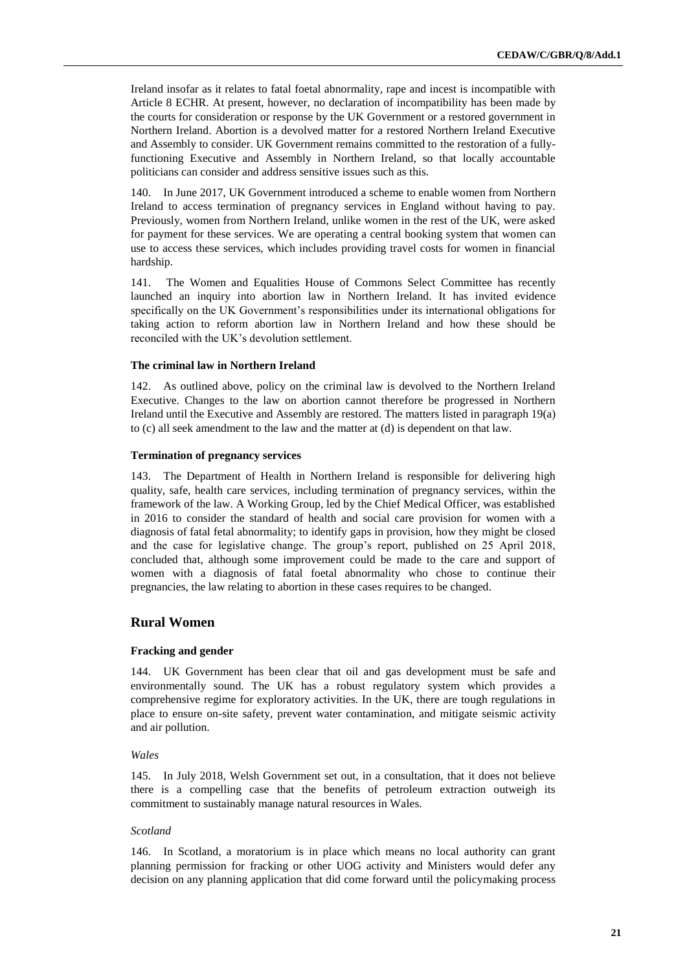Ireland insofar as it relates to fatal foetal abnormality, rape and incest is incompatible with Article 8 ECHR. At present, however, no declaration of incompatibility has been made by the courts for consideration or response by the UK Government or a restored government in Northern Ireland. Abortion is a devolved matter for a restored Northern Ireland Executive and Assembly to consider. UK Government remains committed to the restoration of a fullyfunctioning Executive and Assembly in Northern Ireland, so that locally accountable politicians can consider and address sensitive issues such as this.

140. In June 2017, UK Government introduced a scheme to enable women from Northern Ireland to access termination of pregnancy services in England without having to pay. Previously, women from Northern Ireland, unlike women in the rest of the UK, were asked for payment for these services. We are operating a central booking system that women can use to access these services, which includes providing travel costs for women in financial hardship.

141. The Women and Equalities House of Commons Select Committee has recently launched an inquiry into abortion law in Northern Ireland. It has invited evidence specifically on the UK Government's responsibilities under its international obligations for taking action to reform abortion law in Northern Ireland and how these should be reconciled with the UK's devolution settlement.

#### **The criminal law in Northern Ireland**

142. As outlined above, policy on the criminal law is devolved to the Northern Ireland Executive. Changes to the law on abortion cannot therefore be progressed in Northern Ireland until the Executive and Assembly are restored. The matters listed in paragraph 19(a) to (c) all seek amendment to the law and the matter at (d) is dependent on that law.

#### **Termination of pregnancy services**

143. The Department of Health in Northern Ireland is responsible for delivering high quality, safe, health care services, including termination of pregnancy services, within the framework of the law. A Working Group, led by the Chief Medical Officer, was established in 2016 to consider the standard of health and social care provision for women with a diagnosis of fatal fetal abnormality; to identify gaps in provision, how they might be closed and the case for legislative change. The group's report, published on 25 April 2018, concluded that, although some improvement could be made to the care and support of women with a diagnosis of fatal foetal abnormality who chose to continue their pregnancies, the law relating to abortion in these cases requires to be changed.

## **Rural Women**

#### **Fracking and gender**

144. UK Government has been clear that oil and gas development must be safe and environmentally sound. The UK has a robust regulatory system which provides a comprehensive regime for exploratory activities. In the UK, there are tough regulations in place to ensure on-site safety, prevent water contamination, and mitigate seismic activity and air pollution.

### *Wales*

145. In July 2018, Welsh Government set out, in a consultation, that it does not believe there is a compelling case that the benefits of petroleum extraction outweigh its commitment to sustainably manage natural resources in Wales.

#### *Scotland*

146. In Scotland, a moratorium is in place which means no local authority can grant planning permission for fracking or other UOG activity and Ministers would defer any decision on any planning application that did come forward until the policymaking process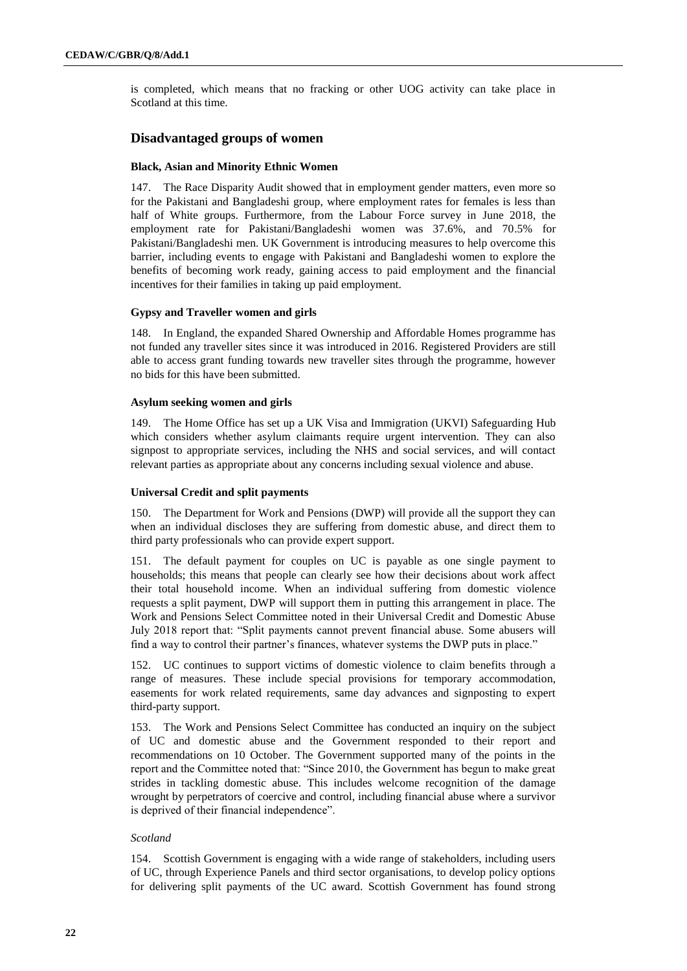is completed, which means that no fracking or other UOG activity can take place in Scotland at this time.

# **Disadvantaged groups of women**

#### **Black, Asian and Minority Ethnic Women**

147. The Race Disparity Audit showed that in employment gender matters, even more so for the Pakistani and Bangladeshi group, where employment rates for females is less than half of White groups. Furthermore, from the Labour Force survey in June 2018, the employment rate for Pakistani/Bangladeshi women was 37.6%, and 70.5% for Pakistani/Bangladeshi men. UK Government is introducing measures to help overcome this barrier, including events to engage with Pakistani and Bangladeshi women to explore the benefits of becoming work ready, gaining access to paid employment and the financial incentives for their families in taking up paid employment.

#### **Gypsy and Traveller women and girls**

148. In England, the expanded Shared Ownership and Affordable Homes programme has not funded any traveller sites since it was introduced in 2016. Registered Providers are still able to access grant funding towards new traveller sites through the programme, however no bids for this have been submitted.

### **Asylum seeking women and girls**

149. The Home Office has set up a UK Visa and Immigration (UKVI) Safeguarding Hub which considers whether asylum claimants require urgent intervention. They can also signpost to appropriate services, including the NHS and social services, and will contact relevant parties as appropriate about any concerns including sexual violence and abuse.

### **Universal Credit and split payments**

150. The Department for Work and Pensions (DWP) will provide all the support they can when an individual discloses they are suffering from domestic abuse, and direct them to third party professionals who can provide expert support.

151. The default payment for couples on UC is payable as one single payment to households; this means that people can clearly see how their decisions about work affect their total household income. When an individual suffering from domestic violence requests a split payment, DWP will support them in putting this arrangement in place. The Work and Pensions Select Committee noted in their Universal Credit and Domestic Abuse July 2018 report that: "Split payments cannot prevent financial abuse. Some abusers will find a way to control their partner's finances, whatever systems the DWP puts in place."

152. UC continues to support victims of domestic violence to claim benefits through a range of measures. These include special provisions for temporary accommodation, easements for work related requirements, same day advances and signposting to expert third-party support.

153. The Work and Pensions Select Committee has conducted an inquiry on the subject of UC and domestic abuse and the Government responded to their report and recommendations on 10 October. The Government supported many of the points in the report and the Committee noted that: "Since 2010, the Government has begun to make great strides in tackling domestic abuse. This includes welcome recognition of the damage wrought by perpetrators of coercive and control, including financial abuse where a survivor is deprived of their financial independence".

## *Scotland*

154. Scottish Government is engaging with a wide range of stakeholders, including users of UC, through Experience Panels and third sector organisations, to develop policy options for delivering split payments of the UC award. Scottish Government has found strong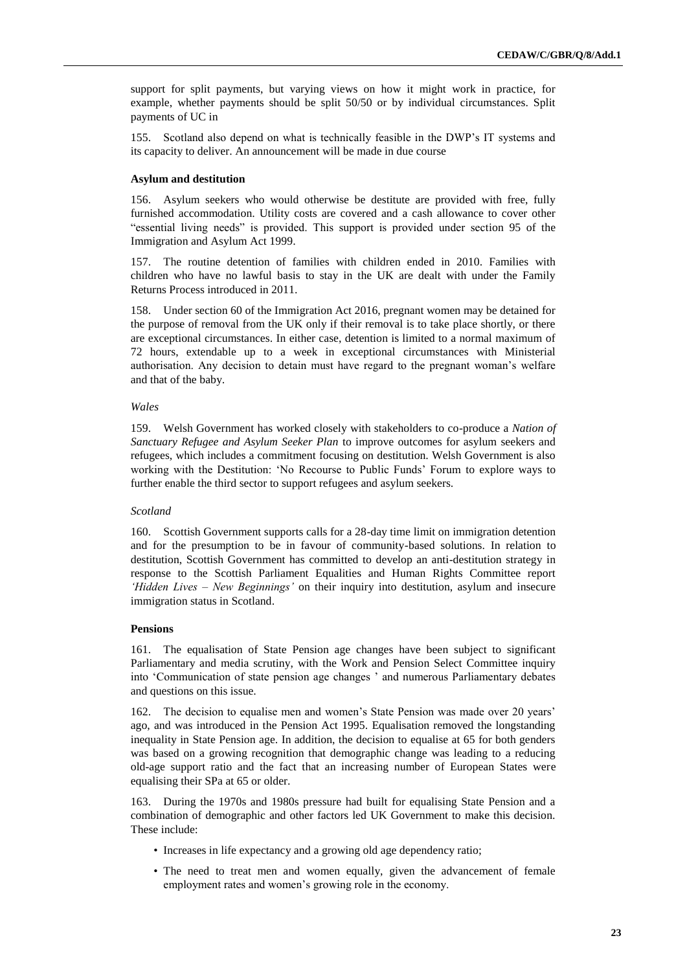support for split payments, but varying views on how it might work in practice, for example, whether payments should be split 50/50 or by individual circumstances. Split payments of UC in

155. Scotland also depend on what is technically feasible in the DWP's IT systems and its capacity to deliver. An announcement will be made in due course

#### **Asylum and destitution**

156. Asylum seekers who would otherwise be destitute are provided with free, fully furnished accommodation. Utility costs are covered and a cash allowance to cover other "essential living needs" is provided. This support is provided under section 95 of the Immigration and Asylum Act 1999.

157. The routine detention of families with children ended in 2010. Families with children who have no lawful basis to stay in the UK are dealt with under the Family Returns Process introduced in 2011.

158. Under section 60 of the Immigration Act 2016, pregnant women may be detained for the purpose of removal from the UK only if their removal is to take place shortly, or there are exceptional circumstances. In either case, detention is limited to a normal maximum of 72 hours, extendable up to a week in exceptional circumstances with Ministerial authorisation. Any decision to detain must have regard to the pregnant woman's welfare and that of the baby.

#### *Wales*

159. Welsh Government has worked closely with stakeholders to co-produce a *Nation of Sanctuary Refugee and Asylum Seeker Plan* to improve outcomes for asylum seekers and refugees, which includes a commitment focusing on destitution. Welsh Government is also working with the Destitution: 'No Recourse to Public Funds' Forum to explore ways to further enable the third sector to support refugees and asylum seekers.

#### *Scotland*

160. Scottish Government supports calls for a 28-day time limit on immigration detention and for the presumption to be in favour of community-based solutions. In relation to destitution, Scottish Government has committed to develop an anti-destitution strategy in response to the Scottish Parliament Equalities and Human Rights Committee report *'Hidden Lives – New Beginnings'* on their inquiry into destitution, asylum and insecure immigration status in Scotland.

### **Pensions**

161. The equalisation of State Pension age changes have been subject to significant Parliamentary and media scrutiny, with the Work and Pension Select Committee inquiry into 'Communication of state pension age changes ' and numerous Parliamentary debates and questions on this issue.

162. The decision to equalise men and women's State Pension was made over 20 years' ago, and was introduced in the Pension Act 1995. Equalisation removed the longstanding inequality in State Pension age. In addition, the decision to equalise at 65 for both genders was based on a growing recognition that demographic change was leading to a reducing old-age support ratio and the fact that an increasing number of European States were equalising their SPa at 65 or older.

163. During the 1970s and 1980s pressure had built for equalising State Pension and a combination of demographic and other factors led UK Government to make this decision. These include:

- Increases in life expectancy and a growing old age dependency ratio;
- The need to treat men and women equally, given the advancement of female employment rates and women's growing role in the economy.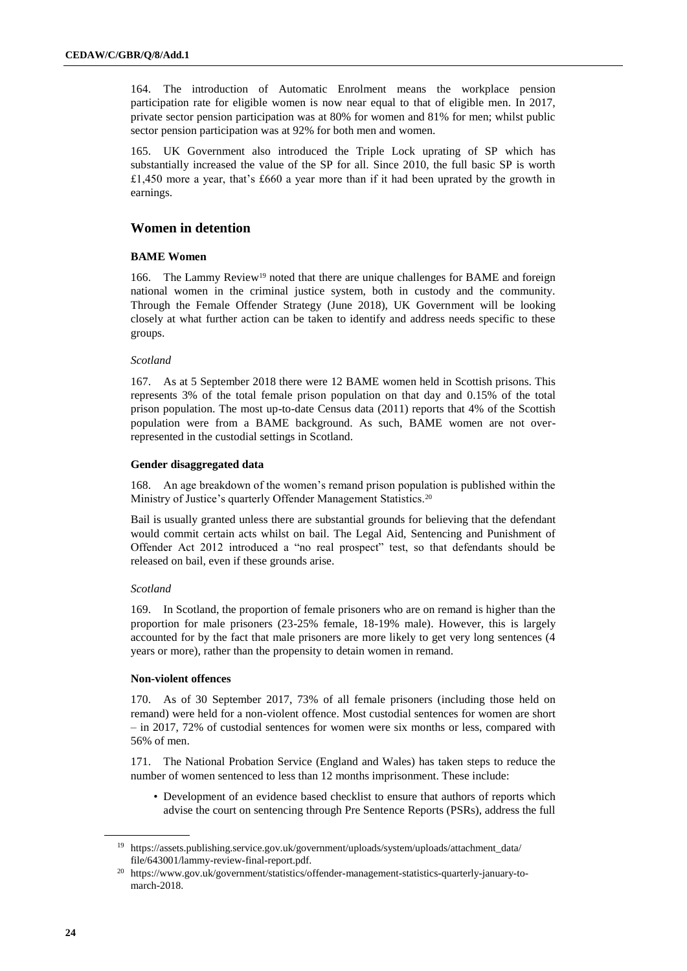164. The introduction of Automatic Enrolment means the workplace pension participation rate for eligible women is now near equal to that of eligible men. In 2017, private sector pension participation was at 80% for women and 81% for men; whilst public sector pension participation was at 92% for both men and women.

165. UK Government also introduced the Triple Lock uprating of SP which has substantially increased the value of the SP for all. Since 2010, the full basic SP is worth £1,450 more a year, that's £660 a year more than if it had been uprated by the growth in earnings.

# **Women in detention**

### **BAME Women**

166. The Lammy Review<sup>19</sup> noted that there are unique challenges for BAME and foreign national women in the criminal justice system, both in custody and the community. Through the Female Offender Strategy (June 2018), UK Government will be looking closely at what further action can be taken to identify and address needs specific to these groups.

### *Scotland*

167. As at 5 September 2018 there were 12 BAME women held in Scottish prisons. This represents 3% of the total female prison population on that day and 0.15% of the total prison population. The most up-to-date Census data (2011) reports that 4% of the Scottish population were from a BAME background. As such, BAME women are not overrepresented in the custodial settings in Scotland.

### **Gender disaggregated data**

168. An age breakdown of the women's remand prison population is published within the Ministry of Justice's quarterly Offender Management Statistics.<sup>20</sup>

Bail is usually granted unless there are substantial grounds for believing that the defendant would commit certain acts whilst on bail. The Legal Aid, Sentencing and Punishment of Offender Act 2012 introduced a "no real prospect" test, so that defendants should be released on bail, even if these grounds arise.

### *Scotland*

169. In Scotland, the proportion of female prisoners who are on remand is higher than the proportion for male prisoners (23-25% female, 18-19% male). However, this is largely accounted for by the fact that male prisoners are more likely to get very long sentences (4 years or more), rather than the propensity to detain women in remand.

### **Non-violent offences**

170. As of 30 September 2017, 73% of all female prisoners (including those held on remand) were held for a non-violent offence. Most custodial sentences for women are short – in 2017, 72% of custodial sentences for women were six months or less, compared with 56% of men.

171. The National Probation Service (England and Wales) has taken steps to reduce the number of women sentenced to less than 12 months imprisonment. These include:

• Development of an evidence based checklist to ensure that authors of reports which advise the court on sentencing through Pre Sentence Reports (PSRs), address the full

<sup>19</sup> https://assets.publishing.service.gov.uk/government/uploads/system/uploads/attachment\_data/ file/643001/lammy-review-final-report.pdf.

<sup>20</sup> https://www.gov.uk/government/statistics/offender-management-statistics-quarterly-january-tomarch-2018.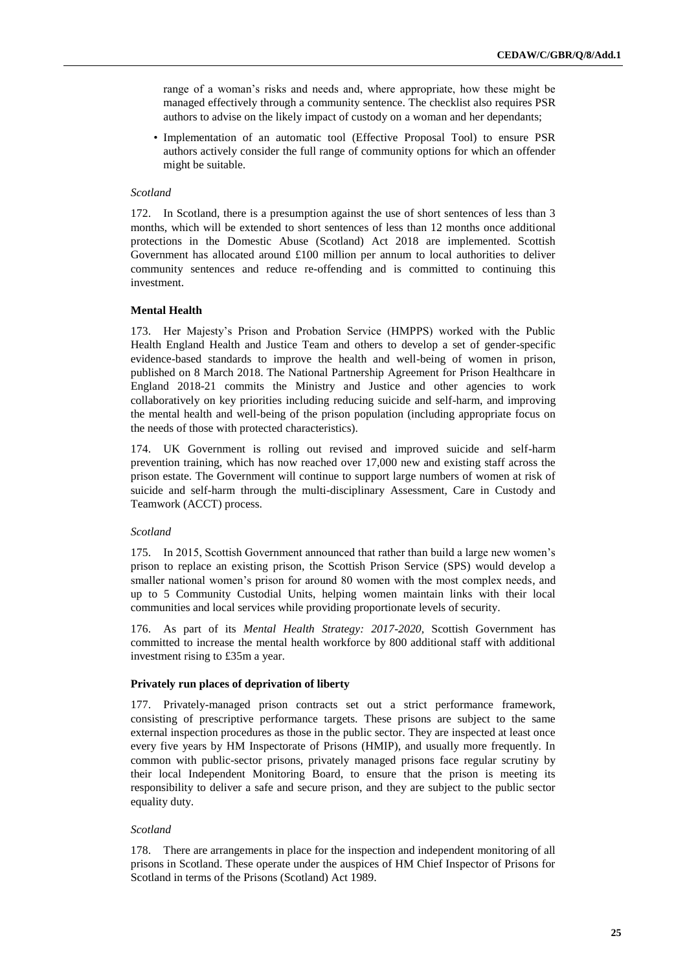range of a woman's risks and needs and, where appropriate, how these might be managed effectively through a community sentence. The checklist also requires PSR authors to advise on the likely impact of custody on a woman and her dependants;

• Implementation of an automatic tool (Effective Proposal Tool) to ensure PSR authors actively consider the full range of community options for which an offender might be suitable.

### *Scotland*

172. In Scotland, there is a presumption against the use of short sentences of less than 3 months, which will be extended to short sentences of less than 12 months once additional protections in the Domestic Abuse (Scotland) Act 2018 are implemented. Scottish Government has allocated around  $£100$  million per annum to local authorities to deliver community sentences and reduce re-offending and is committed to continuing this investment.

### **Mental Health**

173. Her Majesty's Prison and Probation Service (HMPPS) worked with the Public Health England Health and Justice Team and others to develop a set of gender-specific evidence-based standards to improve the health and well-being of women in prison, published on 8 March 2018. The National Partnership Agreement for Prison Healthcare in England 2018-21 commits the Ministry and Justice and other agencies to work collaboratively on key priorities including reducing suicide and self-harm, and improving the mental health and well-being of the prison population (including appropriate focus on the needs of those with protected characteristics).

174. UK Government is rolling out revised and improved suicide and self-harm prevention training, which has now reached over 17,000 new and existing staff across the prison estate. The Government will continue to support large numbers of women at risk of suicide and self-harm through the multi-disciplinary Assessment, Care in Custody and Teamwork (ACCT) process.

#### *Scotland*

175. In 2015, Scottish Government announced that rather than build a large new women's prison to replace an existing prison, the Scottish Prison Service (SPS) would develop a smaller national women's prison for around 80 women with the most complex needs, and up to 5 Community Custodial Units, helping women maintain links with their local communities and local services while providing proportionate levels of security.

176. As part of its *Mental Health Strategy: 2017-2020,* Scottish Government has committed to increase the mental health workforce by 800 additional staff with additional investment rising to £35m a year.

### **Privately run places of deprivation of liberty**

177. Privately-managed prison contracts set out a strict performance framework, consisting of prescriptive performance targets. These prisons are subject to the same external inspection procedures as those in the public sector. They are inspected at least once every five years by HM Inspectorate of Prisons (HMIP), and usually more frequently. In common with public-sector prisons, privately managed prisons face regular scrutiny by their local Independent Monitoring Board, to ensure that the prison is meeting its responsibility to deliver a safe and secure prison, and they are subject to the public sector equality duty.

### *Scotland*

178. There are arrangements in place for the inspection and independent monitoring of all prisons in Scotland. These operate under the auspices of HM Chief Inspector of Prisons for Scotland in terms of the Prisons (Scotland) Act 1989.